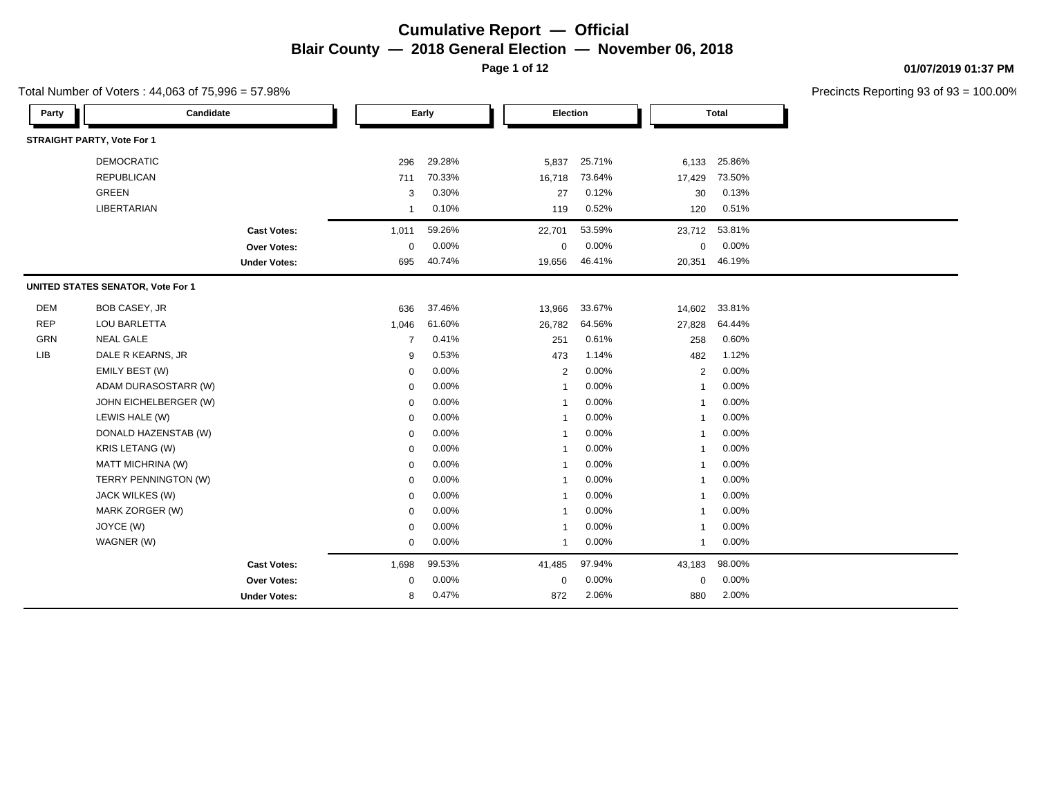**Page 1 of 12**

Total Number of Voters : 44,063 of 75,996 = 57.98%

### **01/07/2019 01:37 PM**

| Party      | Candidate                         |                     |                | Early  |                | Election |                | <b>Total</b> |  |
|------------|-----------------------------------|---------------------|----------------|--------|----------------|----------|----------------|--------------|--|
|            | <b>STRAIGHT PARTY, Vote For 1</b> |                     |                |        |                |          |                |              |  |
|            | <b>DEMOCRATIC</b>                 |                     | 296            | 29.28% | 5,837          | 25.71%   | 6,133          | 25.86%       |  |
|            | <b>REPUBLICAN</b>                 |                     | 711            | 70.33% | 16,718         | 73.64%   | 17,429         | 73.50%       |  |
|            | <b>GREEN</b>                      |                     | 3              | 0.30%  | 27             | 0.12%    | 30             | 0.13%        |  |
|            | LIBERTARIAN                       |                     | $\overline{1}$ | 0.10%  | 119            | 0.52%    | 120            | 0.51%        |  |
|            |                                   | <b>Cast Votes:</b>  | 1,011          | 59.26% | 22,701         | 53.59%   | 23,712         | 53.81%       |  |
|            |                                   | <b>Over Votes:</b>  | $\mathbf{0}$   | 0.00%  | $\mathbf 0$    | 0.00%    | 0              | 0.00%        |  |
|            |                                   | <b>Under Votes:</b> | 695            | 40.74% | 19,656         | 46.41%   | 20,351         | 46.19%       |  |
|            | UNITED STATES SENATOR, Vote For 1 |                     |                |        |                |          |                |              |  |
| <b>DEM</b> | <b>BOB CASEY, JR</b>              |                     | 636            | 37.46% | 13,966         | 33.67%   | 14,602         | 33.81%       |  |
| <b>REP</b> | LOU BARLETTA                      |                     | 1,046          | 61.60% | 26,782         | 64.56%   | 27,828         | 64.44%       |  |
| GRN        | <b>NEAL GALE</b>                  |                     | $\overline{7}$ | 0.41%  | 251            | 0.61%    | 258            | 0.60%        |  |
| <b>LIB</b> | DALE R KEARNS, JR                 |                     | 9              | 0.53%  | 473            | 1.14%    | 482            | 1.12%        |  |
|            | EMILY BEST (W)                    |                     | 0              | 0.00%  | 2              | 0.00%    | 2              | 0.00%        |  |
|            | ADAM DURASOSTARR (W)              |                     | $\mathbf 0$    | 0.00%  | $\mathbf{1}$   | 0.00%    | $\overline{1}$ | 0.00%        |  |
|            | JOHN EICHELBERGER (W)             |                     | 0              | 0.00%  | $\overline{1}$ | 0.00%    | $\overline{1}$ | 0.00%        |  |
|            | LEWIS HALE (W)                    |                     | 0              | 0.00%  | $\mathbf{1}$   | 0.00%    | $\mathbf{1}$   | 0.00%        |  |
|            | DONALD HAZENSTAB (W)              |                     | 0              | 0.00%  | $\mathbf{1}$   | 0.00%    | $\overline{1}$ | 0.00%        |  |
|            | KRIS LETANG (W)                   |                     | $\mathbf 0$    | 0.00%  | $\overline{1}$ | 0.00%    | $\overline{1}$ | 0.00%        |  |
|            | MATT MICHRINA (W)                 |                     | $\mathbf 0$    | 0.00%  | $\overline{1}$ | 0.00%    | $\overline{1}$ | 0.00%        |  |
|            | TERRY PENNINGTON (W)              |                     | $\mathbf 0$    | 0.00%  | $\mathbf{1}$   | 0.00%    | $\mathbf{1}$   | 0.00%        |  |
|            | JACK WILKES (W)                   |                     | 0              | 0.00%  | $\mathbf 1$    | 0.00%    | -1             | 0.00%        |  |
|            | MARK ZORGER (W)                   |                     | 0              | 0.00%  | $\overline{1}$ | 0.00%    | -1             | 0.00%        |  |
|            | JOYCE (W)                         |                     | 0              | 0.00%  | $\overline{1}$ | 0.00%    | $\mathbf{1}$   | 0.00%        |  |
|            | WAGNER (W)                        |                     | 0              | 0.00%  | $\mathbf{1}$   | 0.00%    | $\mathbf{1}$   | 0.00%        |  |
|            |                                   | <b>Cast Votes:</b>  | 1,698          | 99.53% | 41,485         | 97.94%   | 43,183         | 98.00%       |  |
|            |                                   | Over Votes:         | $\mathbf 0$    | 0.00%  | $\mathbf 0$    | 0.00%    | $\mathbf 0$    | 0.00%        |  |
|            |                                   | <b>Under Votes:</b> | 8              | 0.47%  | 872            | 2.06%    | 880            | 2.00%        |  |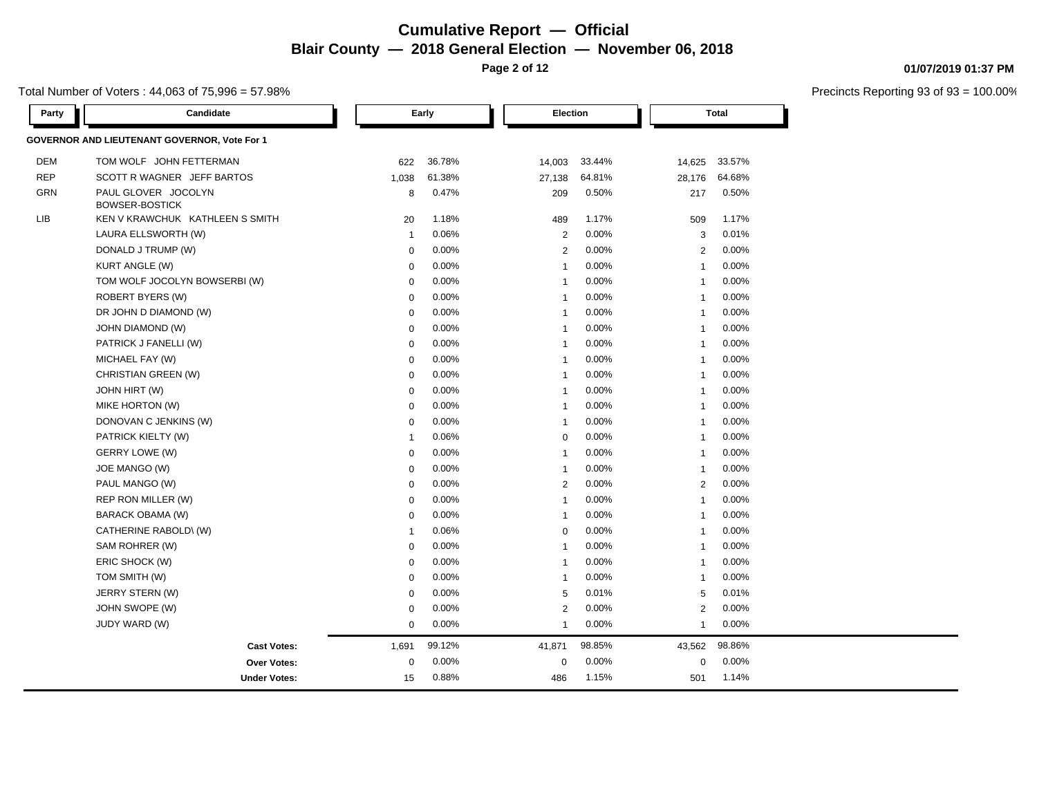**Page 2 of 12**

Total Number of Voters : 44,063 of 75,996 = 57.98%

| <b>DEM</b><br><b>REP</b> | <b>GOVERNOR AND LIEUTENANT GOVERNOR, Vote For 1</b><br>TOM WOLF JOHN FETTERMAN |                |        |                |          |                |          |  |
|--------------------------|--------------------------------------------------------------------------------|----------------|--------|----------------|----------|----------------|----------|--|
|                          |                                                                                |                |        |                |          |                |          |  |
|                          |                                                                                | 622            | 36.78% | 14,003         | 33.44%   | 14,625         | 33.57%   |  |
|                          | SCOTT R WAGNER JEFF BARTOS                                                     | 1,038          | 61.38% | 27,138         | 64.81%   | 28,176         | 64.68%   |  |
| GRN                      | PAUL GLOVER JOCOLYN                                                            | 8              | 0.47%  | 209            | 0.50%    | 217            | 0.50%    |  |
|                          | <b>BOWSER-BOSTICK</b>                                                          |                |        |                |          |                |          |  |
| LIB                      | KEN V KRAWCHUK KATHLEEN S SMITH                                                | 20             | 1.18%  | 489            | 1.17%    | 509            | 1.17%    |  |
|                          | LAURA ELLSWORTH (W)                                                            | $\overline{1}$ | 0.06%  | $\overline{2}$ | 0.00%    | 3              | 0.01%    |  |
|                          | DONALD J TRUMP (W)                                                             | $\mathbf 0$    | 0.00%  | $\overline{2}$ | 0.00%    | $\overline{2}$ | 0.00%    |  |
|                          | <b>KURT ANGLE (W)</b>                                                          | $\mathbf 0$    | 0.00%  | $\overline{1}$ | 0.00%    | $\overline{1}$ | 0.00%    |  |
|                          | TOM WOLF JOCOLYN BOWSERBI (W)                                                  | $\mathbf 0$    | 0.00%  | $\overline{1}$ | 0.00%    | $\overline{1}$ | 0.00%    |  |
|                          | ROBERT BYERS (W)                                                               | $\mathbf 0$    | 0.00%  | $\overline{1}$ | 0.00%    | $\overline{1}$ | 0.00%    |  |
|                          | DR JOHN D DIAMOND (W)                                                          | $\mathbf 0$    | 0.00%  | $\overline{1}$ | 0.00%    | $\mathbf{1}$   | 0.00%    |  |
|                          | <b>JOHN DIAMOND (W)</b>                                                        | $\mathbf 0$    | 0.00%  | $\overline{1}$ | 0.00%    | $\mathbf{1}$   | 0.00%    |  |
|                          | PATRICK J FANELLI (W)                                                          | $\mathbf 0$    | 0.00%  | $\overline{1}$ | 0.00%    | $\overline{1}$ | 0.00%    |  |
|                          | MICHAEL FAY (W)                                                                | $\mathbf 0$    | 0.00%  | $\overline{1}$ | 0.00%    | $\mathbf{1}$   | 0.00%    |  |
|                          | CHRISTIAN GREEN (W)                                                            | $\mathbf 0$    | 0.00%  | $\overline{1}$ | 0.00%    | $\mathbf{1}$   | 0.00%    |  |
|                          | JOHN HIRT (W)                                                                  | $\mathbf 0$    | 0.00%  | $\overline{1}$ | 0.00%    | $\mathbf{1}$   | 0.00%    |  |
|                          | MIKE HORTON (W)                                                                | $\mathbf 0$    | 0.00%  | $\overline{1}$ | 0.00%    | $\overline{1}$ | 0.00%    |  |
|                          | DONOVAN C JENKINS (W)                                                          | $\mathbf 0$    | 0.00%  | $\overline{1}$ | 0.00%    | $\mathbf{1}$   | 0.00%    |  |
|                          | PATRICK KIELTY (W)                                                             | $\overline{1}$ | 0.06%  | 0              | 0.00%    | $\overline{1}$ | 0.00%    |  |
|                          | GERRY LOWE (W)                                                                 | $\mathbf 0$    | 0.00%  | $\overline{1}$ | 0.00%    | $\mathbf{1}$   | 0.00%    |  |
|                          | JOE MANGO (W)                                                                  | $\mathbf 0$    | 0.00%  | $\overline{1}$ | 0.00%    | $\overline{1}$ | 0.00%    |  |
|                          | PAUL MANGO (W)                                                                 | $\mathbf 0$    | 0.00%  | $\overline{2}$ | 0.00%    | $\overline{2}$ | 0.00%    |  |
|                          | REP RON MILLER (W)                                                             | $\mathbf 0$    | 0.00%  | $\overline{1}$ | 0.00%    | $\overline{1}$ | 0.00%    |  |
|                          | BARACK OBAMA (W)                                                               | $\mathbf 0$    | 0.00%  | $\overline{1}$ | 0.00%    | $\overline{1}$ | 0.00%    |  |
|                          | CATHERINE RABOLD\(W)                                                           | $\overline{1}$ | 0.06%  | 0              | $0.00\%$ | $\overline{1}$ | 0.00%    |  |
|                          | SAM ROHRER (W)                                                                 | $\mathbf 0$    | 0.00%  | $\overline{1}$ | 0.00%    | $\overline{1}$ | 0.00%    |  |
|                          | ERIC SHOCK (W)                                                                 | $\mathbf 0$    | 0.00%  | $\overline{1}$ | 0.00%    | $\mathbf{1}$   | 0.00%    |  |
|                          | TOM SMITH (W)                                                                  | $\mathbf 0$    | 0.00%  | $\overline{1}$ | $0.00\%$ | $\overline{1}$ | 0.00%    |  |
|                          | JERRY STERN (W)                                                                | $\mathbf 0$    | 0.00%  | 5              | 0.01%    | 5              | 0.01%    |  |
|                          | JOHN SWOPE (W)                                                                 | 0              | 0.00%  | $\overline{2}$ | $0.00\%$ | $\overline{c}$ | 0.00%    |  |
|                          | <b>JUDY WARD (W)</b>                                                           | $\mathbf 0$    | 0.00%  | $\overline{1}$ | $0.00\%$ | $\overline{1}$ | 0.00%    |  |
|                          | <b>Cast Votes:</b>                                                             | 1,691          | 99.12% | 41,871         | 98.85%   | 43,562         | 98.86%   |  |
|                          | Over Votes:                                                                    | $\mathbf 0$    | 0.00%  | $\mathbf 0$    | $0.00\%$ | $\mathbf 0$    | $0.00\%$ |  |
|                          | <b>Under Votes:</b>                                                            | 15             | 0.88%  | 486            | 1.15%    | 501            | 1.14%    |  |

### **01/07/2019 01:37 PM**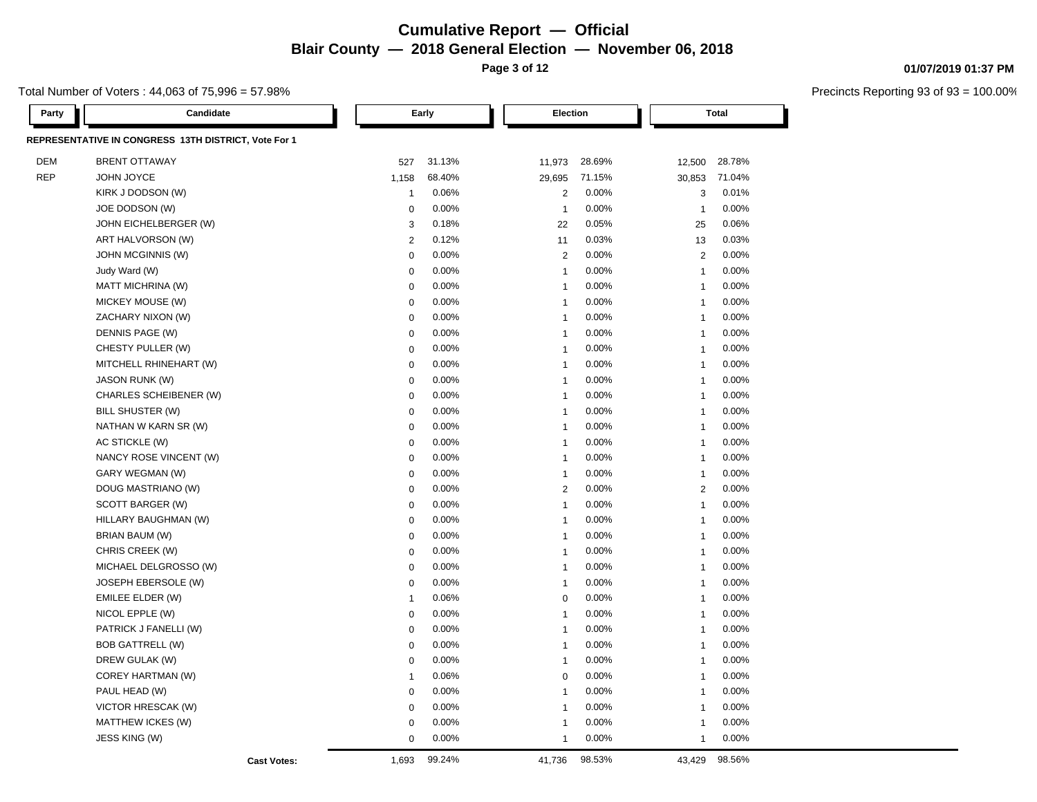**Page 3 of 12**

#### Total Number of Voters : 44,063 of 75,996 = 57.98%

**01/07/2019 01:37 PM**

| Party      | Candidate                                            |                    |                | Early  | Election       |        |                | <b>Total</b>            |  |
|------------|------------------------------------------------------|--------------------|----------------|--------|----------------|--------|----------------|-------------------------|--|
|            | REPRESENTATIVE IN CONGRESS 13TH DISTRICT, Vote For 1 |                    |                |        |                |        |                |                         |  |
| <b>DEM</b> | <b>BRENT OTTAWAY</b>                                 |                    | 527            | 31.13% | 11,973         | 28.69% | 12,500         | 28.78%                  |  |
| <b>REP</b> | JOHN JOYCE                                           |                    | 1,158          | 68.40% | 29,695         | 71.15% | 30,853         | 71.04%                  |  |
|            | KIRK J DODSON (W)                                    |                    | $\mathbf{1}$   | 0.06%  | $\overline{2}$ | 0.00%  |                | 0.01%<br>3              |  |
|            | JOE DODSON (W)                                       |                    | 0              | 0.00%  | $\mathbf{1}$   | 0.00%  | $\mathbf{1}$   | 0.00%                   |  |
|            | JOHN EICHELBERGER (W)                                |                    | 3              | 0.18%  | 22             | 0.05%  | 25             | 0.06%                   |  |
|            | ART HALVORSON (W)                                    |                    | $\overline{2}$ | 0.12%  | 11             | 0.03%  | 13             | 0.03%                   |  |
|            | JOHN MCGINNIS (W)                                    |                    | $\mathbf 0$    | 0.00%  | $\overline{2}$ | 0.00%  |                | 0.00%<br>$\overline{2}$ |  |
|            | Judy Ward (W)                                        |                    | $\mathbf 0$    | 0.00%  | $\overline{1}$ | 0.00%  | $\mathbf{1}$   | 0.00%                   |  |
|            | <b>MATT MICHRINA (W)</b>                             |                    | $\mathbf 0$    | 0.00%  | $\mathbf{1}$   | 0.00%  | $\mathbf{1}$   | 0.00%                   |  |
|            | MICKEY MOUSE (W)                                     |                    | $\mathbf 0$    | 0.00%  | $\mathbf{1}$   | 0.00%  | $\overline{1}$ | 0.00%                   |  |
|            | ZACHARY NIXON (W)                                    |                    | $\mathbf 0$    | 0.00%  | -1             | 0.00%  | $\overline{1}$ | 0.00%                   |  |
|            | DENNIS PAGE (W)                                      |                    | $\mathbf 0$    | 0.00%  | $\mathbf{1}$   | 0.00%  | $\mathbf{1}$   | 0.00%                   |  |
|            | CHESTY PULLER (W)                                    |                    | $\mathbf 0$    | 0.00%  | $\mathbf{1}$   | 0.00%  | $\mathbf{1}$   | 0.00%                   |  |
|            | MITCHELL RHINEHART (W)                               |                    | $\mathbf 0$    | 0.00%  | $\overline{1}$ | 0.00%  | $\overline{1}$ | 0.00%                   |  |
|            | <b>JASON RUNK (W)</b>                                |                    | $\mathbf 0$    | 0.00%  | $\overline{1}$ | 0.00%  | $\overline{1}$ | 0.00%                   |  |
|            | CHARLES SCHEIBENER (W)                               |                    | $\mathbf 0$    | 0.00%  | $\mathbf{1}$   | 0.00%  | $\mathbf{1}$   | 0.00%                   |  |
|            | BILL SHUSTER (W)                                     |                    | $\mathbf 0$    | 0.00%  | $\overline{1}$ | 0.00%  | $\overline{1}$ | 0.00%                   |  |
|            | NATHAN W KARN SR (W)                                 |                    | $\mathbf 0$    | 0.00%  | $\overline{1}$ | 0.00%  | $\overline{1}$ | 0.00%                   |  |
|            | AC STICKLE (W)                                       |                    | $\mathbf 0$    | 0.00%  | $\overline{1}$ | 0.00%  | $\mathbf{1}$   | 0.00%                   |  |
|            | NANCY ROSE VINCENT (W)                               |                    | $\mathbf 0$    | 0.00%  | $\mathbf{1}$   | 0.00%  | $\overline{1}$ | 0.00%                   |  |
|            | GARY WEGMAN (W)                                      |                    | $\mathbf 0$    | 0.00%  | $\overline{1}$ | 0.00%  | -1             | 0.00%                   |  |
|            | DOUG MASTRIANO (W)                                   |                    | $\mathbf 0$    | 0.00%  | $\overline{2}$ | 0.00%  |                | 0.00%<br>$\overline{2}$ |  |
|            | SCOTT BARGER (W)                                     |                    | $\mathbf 0$    | 0.00%  | $\overline{1}$ | 0.00%  | $\mathbf{1}$   | 0.00%                   |  |
|            | HILLARY BAUGHMAN (W)                                 |                    | $\mathbf 0$    | 0.00%  | $\overline{1}$ | 0.00%  | $\overline{1}$ | 0.00%                   |  |
|            | BRIAN BAUM (W)                                       |                    | $\mathbf 0$    | 0.00%  | $\overline{1}$ | 0.00%  | -1             | 0.00%                   |  |
|            | CHRIS CREEK (W)                                      |                    | $\mathbf 0$    | 0.00%  | $\mathbf{1}$   | 0.00%  | $\overline{1}$ | 0.00%                   |  |
|            | MICHAEL DELGROSSO (W)                                |                    | $\mathbf 0$    | 0.00%  | $\overline{1}$ | 0.00%  | $\overline{1}$ | 0.00%                   |  |
|            | JOSEPH EBERSOLE (W)                                  |                    | $\mathbf 0$    | 0.00%  | $\mathbf{1}$   | 0.00%  | $\overline{1}$ | 0.00%                   |  |
|            | EMILEE ELDER (W)                                     |                    | $\mathbf{1}$   | 0.06%  | $\mathbf 0$    | 0.00%  | -1             | 0.00%                   |  |
|            | NICOL EPPLE (W)                                      |                    | $\mathbf 0$    | 0.00%  | $\mathbf{1}$   | 0.00%  | $\overline{1}$ | 0.00%                   |  |
|            | PATRICK J FANELLI (W)                                |                    | $\mathbf 0$    | 0.00%  | $\overline{1}$ | 0.00%  | $\overline{1}$ | 0.00%                   |  |
|            | <b>BOB GATTRELL (W)</b>                              |                    | $\mathbf 0$    | 0.00%  | $\mathbf{1}$   | 0.00%  | $\mathbf{1}$   | 0.00%                   |  |
|            | DREW GULAK (W)                                       |                    | $\mathbf 0$    | 0.00%  | $\mathbf{1}$   | 0.00%  | $\overline{1}$ | 0.00%                   |  |
|            | COREY HARTMAN (W)                                    |                    | $\mathbf{1}$   | 0.06%  | $\mathbf 0$    | 0.00%  | $\mathbf{1}$   | 0.00%                   |  |
|            | PAUL HEAD (W)                                        |                    | $\mathbf 0$    | 0.00%  | $\overline{1}$ | 0.00%  | $\overline{1}$ | 0.00%                   |  |
|            | VICTOR HRESCAK (W)                                   |                    | $\mathbf 0$    | 0.00%  | $\mathbf{1}$   | 0.00%  | $\mathbf{1}$   | 0.00%                   |  |
|            | MATTHEW ICKES (W)                                    |                    | $\pmb{0}$      | 0.00%  | $\overline{1}$ | 0.00%  | -1             | 0.00%                   |  |
|            | JESS KING (W)                                        |                    | $\mathbf 0$    | 0.00%  | $\overline{1}$ | 0.00%  | $\overline{1}$ | 0.00%                   |  |
|            |                                                      | <b>Cast Votes:</b> | 1,693          | 99.24% | 41,736         | 98.53% | 43,429         | 98.56%                  |  |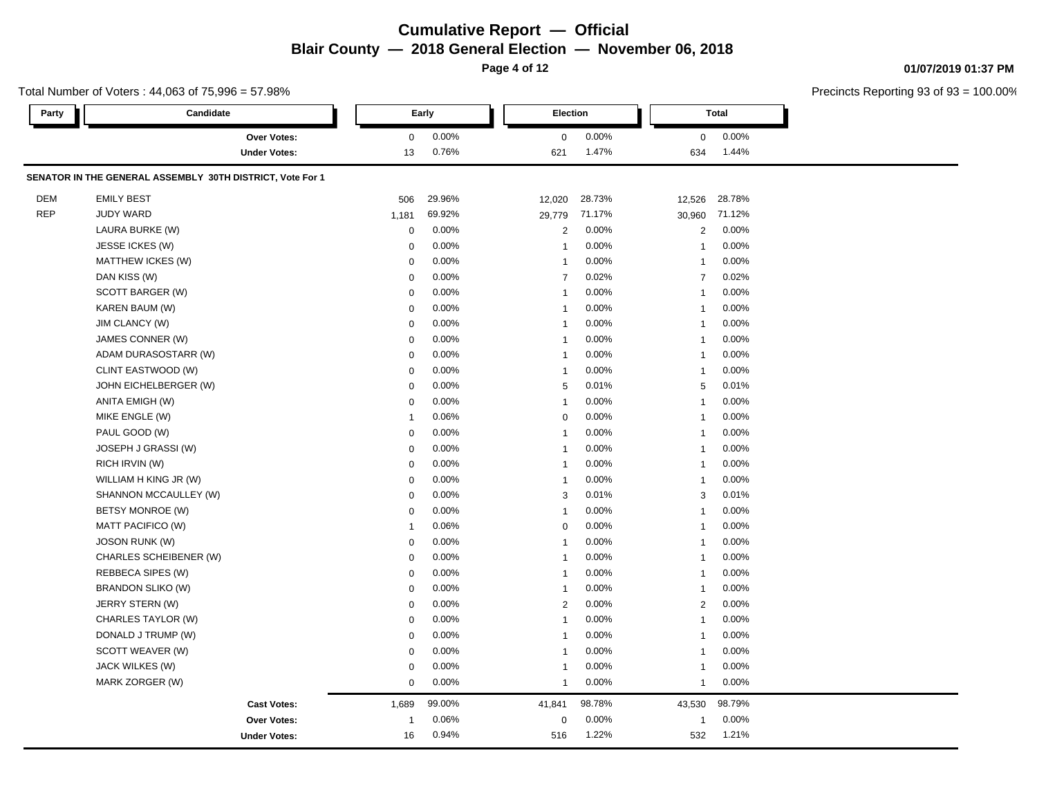**Page 4 of 12**

### **01/07/2019 01:37 PM**

| Total Number of Voters: 44,063 of 75,996 = 57.98% |                                                           |              |        |                |          |                |              | Precincts Reporting 93 of 93 = |
|---------------------------------------------------|-----------------------------------------------------------|--------------|--------|----------------|----------|----------------|--------------|--------------------------------|
| Party                                             | Candidate                                                 |              | Early  |                | Election |                | <b>Total</b> |                                |
|                                                   | <b>Over Votes:</b>                                        | $\mathbf 0$  | 0.00%  | 0              | 0.00%    | 0              | 0.00%        |                                |
|                                                   | <b>Under Votes:</b>                                       | 13           | 0.76%  | 621            | 1.47%    | 634            | 1.44%        |                                |
|                                                   | SENATOR IN THE GENERAL ASSEMBLY 30TH DISTRICT, Vote For 1 |              |        |                |          |                |              |                                |
| DEM                                               | <b>EMILY BEST</b>                                         | 506          | 29.96% | 12,020         | 28.73%   | 12,526         | 28.78%       |                                |
| <b>REP</b>                                        | <b>JUDY WARD</b>                                          | 1,181        | 69.92% | 29,779         | 71.17%   | 30,960         | 71.12%       |                                |
|                                                   | LAURA BURKE (W)                                           | $\mathbf 0$  | 0.00%  | $\overline{2}$ | 0.00%    | 2              | 0.00%        |                                |
|                                                   | JESSE ICKES (W)                                           | $\mathbf 0$  | 0.00%  | $\mathbf{1}$   | 0.00%    |                | 0.00%        |                                |
|                                                   | MATTHEW ICKES (W)                                         | 0            | 0.00%  | $\mathbf{1}$   | 0.00%    | -1             | 0.00%        |                                |
|                                                   | DAN KISS (W)                                              | 0            | 0.00%  | $\overline{7}$ | 0.02%    | $\overline{7}$ | 0.02%        |                                |
|                                                   | SCOTT BARGER (W)                                          | $\mathbf 0$  | 0.00%  | $\mathbf{1}$   | 0.00%    |                | 0.00%        |                                |
|                                                   | KAREN BAUM (W)                                            | $\mathbf 0$  | 0.00%  | $\mathbf{1}$   | 0.00%    |                | 0.00%        |                                |
|                                                   | <b>JIM CLANCY (W)</b>                                     | 0            | 0.00%  | 1              | 0.00%    |                | 0.00%        |                                |
|                                                   | JAMES CONNER (W)                                          | 0            | 0.00%  | $\mathbf{1}$   | 0.00%    |                | 0.00%        |                                |
|                                                   | ADAM DURASOSTARR (W)                                      | 0            | 0.00%  | 1              | 0.00%    |                | 0.00%        |                                |
|                                                   | CLINT EASTWOOD (W)                                        | $\mathbf 0$  | 0.00%  | $\mathbf{1}$   | 0.00%    |                | 0.00%        |                                |
|                                                   | JOHN EICHELBERGER (W)                                     | 0            | 0.00%  | 5              | 0.01%    | 5              | 0.01%        |                                |
|                                                   | ANITA EMIGH (W)                                           | $\mathbf 0$  | 0.00%  | $\mathbf{1}$   | 0.00%    |                | 0.00%        |                                |
|                                                   | MIKE ENGLE (W)                                            | $\mathbf{1}$ | 0.06%  | $\mathbf 0$    | 0.00%    |                | 0.00%        |                                |
|                                                   | PAUL GOOD (W)                                             | $\mathbf 0$  | 0.00%  | $\mathbf{1}$   | 0.00%    |                | 0.00%        |                                |
|                                                   | JOSEPH J GRASSI (W)                                       | $\mathbf 0$  | 0.00%  | $\mathbf{1}$   | 0.00%    |                | 0.00%        |                                |
|                                                   | RICH IRVIN (W)                                            | $\mathbf 0$  | 0.00%  | $\mathbf{1}$   | 0.00%    |                | 0.00%        |                                |
|                                                   | WILLIAM H KING JR (W)                                     | $\mathbf 0$  | 0.00%  | $\mathbf{1}$   | 0.00%    | -1             | 0.00%        |                                |
|                                                   | SHANNON MCCAULLEY (W)                                     | 0            | 0.00%  | 3              | 0.01%    | 3              | 0.01%        |                                |
|                                                   | BETSY MONROE (W)                                          | $\mathbf 0$  | 0.00%  | $\mathbf{1}$   | 0.00%    |                | 0.00%        |                                |
|                                                   | MATT PACIFICO (W)                                         | $\mathbf{1}$ | 0.06%  | $\mathbf 0$    | 0.00%    |                | 0.00%        |                                |
|                                                   | <b>JOSON RUNK (W)</b>                                     | $\mathbf 0$  | 0.00%  | $\mathbf{1}$   | 0.00%    |                | 0.00%        |                                |
|                                                   | CHARLES SCHEIBENER (W)                                    | $\pmb{0}$    | 0.00%  | 1              | 0.00%    |                | 0.00%        |                                |
|                                                   | REBBECA SIPES (W)                                         | $\pmb{0}$    | 0.00%  | $\mathbf{1}$   | 0.00%    |                | 0.00%        |                                |
|                                                   | <b>BRANDON SLIKO (W)</b>                                  | $\pmb{0}$    | 0.00%  | $\mathbf{1}$   | 0.00%    | -1             | 0.00%        |                                |
|                                                   | JERRY STERN (W)                                           | $\mathbf 0$  | 0.00%  | $\overline{2}$ | 0.00%    | $\overline{2}$ | 0.00%        |                                |
|                                                   | CHARLES TAYLOR (W)                                        | 0            | 0.00%  | 1              | 0.00%    | -1             | 0.00%        |                                |
|                                                   | DONALD J TRUMP (W)                                        | 0            | 0.00%  | 1              | 0.00%    |                | 0.00%        |                                |
|                                                   | SCOTT WEAVER (W)                                          | $\mathbf 0$  | 0.00%  | $\mathbf{1}$   | 0.00%    |                | 0.00%        |                                |
|                                                   | JACK WILKES (W)                                           | $\mathbf 0$  | 0.00%  | $\mathbf{1}$   | 0.00%    |                | 0.00%        |                                |
|                                                   | MARK ZORGER (W)                                           | 0            | 0.00%  | $\mathbf{1}$   | 0.00%    | $\mathbf{1}$   | 0.00%        |                                |
|                                                   | <b>Cast Votes:</b>                                        | 1,689        | 99.00% | 41,841         | 98.78%   | 43,530         | 98.79%       |                                |
|                                                   | Over Votes:                                               | $\mathbf{1}$ | 0.06%  | 0              | 0.00%    | -1             | 0.00%        |                                |
|                                                   | <b>Under Votes:</b>                                       | 16           | 0.94%  | 516            | 1.22%    | 532            | 1.21%        |                                |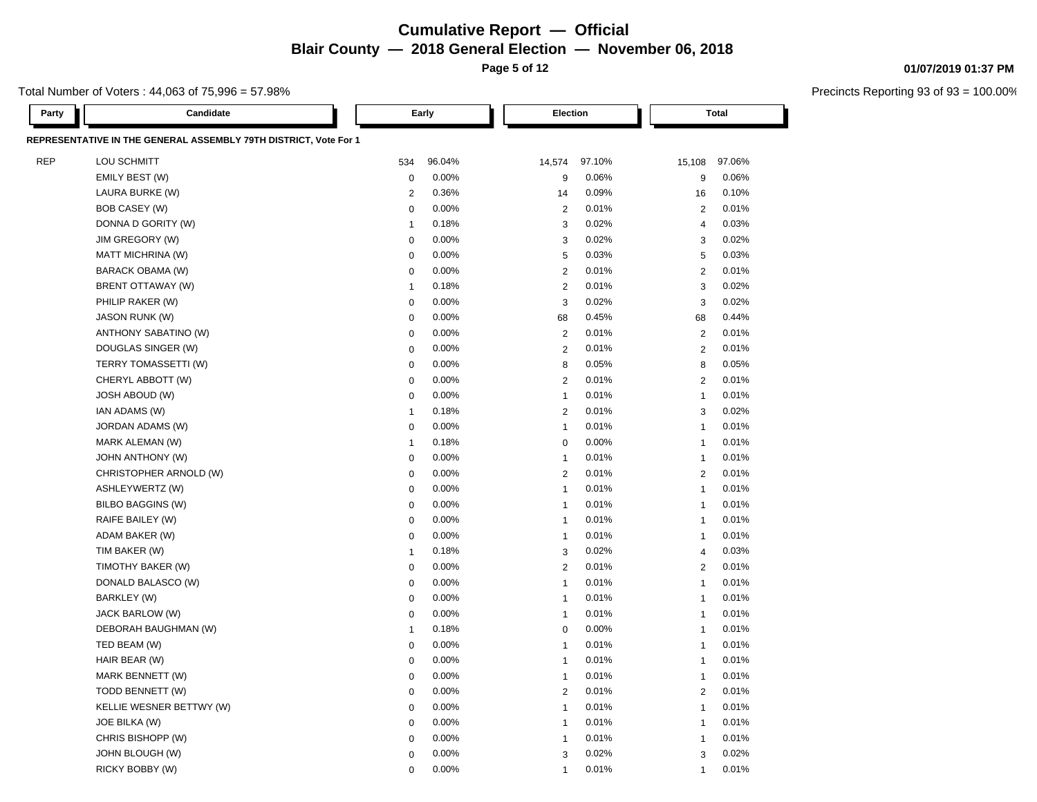**Page 5 of 12**

Total Number of Voters : 44,063 of 75,996 = 57.98%

| Party      | Candidate                                                        |                | Early  | Election       |        |                | Total  |
|------------|------------------------------------------------------------------|----------------|--------|----------------|--------|----------------|--------|
|            | REPRESENTATIVE IN THE GENERAL ASSEMBLY 79TH DISTRICT, Vote For 1 |                |        |                |        |                |        |
| <b>REP</b> | LOU SCHMITT                                                      | 534            | 96.04% | 14,574         | 97.10% | 15,108         | 97.06% |
|            | EMILY BEST (W)                                                   | $\mathbf 0$    | 0.00%  | 9              | 0.06%  | 9              | 0.06%  |
|            | LAURA BURKE (W)                                                  | $\overline{2}$ | 0.36%  | 14             | 0.09%  | 16             | 0.10%  |
|            | <b>BOB CASEY (W)</b>                                             | $\mathbf 0$    | 0.00%  | $\overline{2}$ | 0.01%  | 2              | 0.01%  |
|            | DONNA D GORITY (W)                                               | $\mathbf{1}$   | 0.18%  | 3              | 0.02%  | $\overline{4}$ | 0.03%  |
|            | JIM GREGORY (W)                                                  | $\mathbf 0$    | 0.00%  | 3              | 0.02%  | 3              | 0.02%  |
|            | MATT MICHRINA (W)                                                | $\mathbf 0$    | 0.00%  | 5              | 0.03%  | 5              | 0.03%  |
|            | BARACK OBAMA (W)                                                 | $\mathbf 0$    | 0.00%  | $\overline{2}$ | 0.01%  | 2              | 0.01%  |
|            | BRENT OTTAWAY (W)                                                | $\mathbf{1}$   | 0.18%  | $\overline{2}$ | 0.01%  | 3              | 0.02%  |
|            | PHILIP RAKER (W)                                                 | $\mathbf 0$    | 0.00%  | 3              | 0.02%  | 3              | 0.02%  |
|            | <b>JASON RUNK (W)</b>                                            | $\mathbf 0$    | 0.00%  | 68             | 0.45%  | 68             | 0.44%  |
|            | ANTHONY SABATINO (W)                                             | $\mathbf 0$    | 0.00%  | $\overline{2}$ | 0.01%  | $\overline{2}$ | 0.01%  |
|            | DOUGLAS SINGER (W)                                               | $\mathbf 0$    | 0.00%  | $\overline{2}$ | 0.01%  | $\overline{2}$ | 0.01%  |
|            | TERRY TOMASSETTI (W)                                             | $\pmb{0}$      | 0.00%  | 8              | 0.05%  | 8              | 0.05%  |
|            | CHERYL ABBOTT (W)                                                | $\mathbf 0$    | 0.00%  | $\overline{2}$ | 0.01%  | 2              | 0.01%  |
|            | <b>JOSH ABOUD (W)</b>                                            | $\mathbf 0$    | 0.00%  | $\overline{1}$ | 0.01%  | $\mathbf{1}$   | 0.01%  |
|            | IAN ADAMS (W)                                                    | $\mathbf{1}$   | 0.18%  | $\overline{2}$ | 0.01%  | 3              | 0.02%  |
|            | JORDAN ADAMS (W)                                                 | $\mathbf 0$    | 0.00%  | $\mathbf{1}$   | 0.01%  | $\overline{1}$ | 0.01%  |
|            | MARK ALEMAN (W)                                                  | $\mathbf{1}$   | 0.18%  | $\mathbf 0$    | 0.00%  | $\mathbf{1}$   | 0.01%  |
|            | <b>JOHN ANTHONY (W)</b>                                          | $\mathbf 0$    | 0.00%  | $\overline{1}$ | 0.01%  | $\mathbf{1}$   | 0.01%  |
|            | CHRISTOPHER ARNOLD (W)                                           | $\mathbf 0$    | 0.00%  | $\overline{2}$ | 0.01%  | 2              | 0.01%  |
|            | ASHLEYWERTZ (W)                                                  | $\mathbf 0$    | 0.00%  | $\mathbf{1}$   | 0.01%  | $\overline{1}$ | 0.01%  |
|            | <b>BILBO BAGGINS (W)</b>                                         | $\mathbf 0$    | 0.00%  | $\overline{1}$ | 0.01%  | $\overline{1}$ | 0.01%  |
|            | RAIFE BAILEY (W)                                                 | $\mathbf 0$    | 0.00%  | $\overline{1}$ | 0.01%  | $\mathbf{1}$   | 0.01%  |
|            | ADAM BAKER (W)                                                   | $\mathbf 0$    | 0.00%  | $\overline{1}$ | 0.01%  | $\overline{1}$ | 0.01%  |
|            | TIM BAKER (W)                                                    | $\mathbf{1}$   | 0.18%  | 3              | 0.02%  | $\overline{4}$ | 0.03%  |
|            | TIMOTHY BAKER (W)                                                | $\mathbf 0$    | 0.00%  | $\overline{2}$ | 0.01%  | 2              | 0.01%  |
|            | DONALD BALASCO (W)                                               | $\mathbf 0$    | 0.00%  | $\overline{1}$ | 0.01%  | $\overline{1}$ | 0.01%  |
|            | BARKLEY (W)                                                      | $\mathbf 0$    | 0.00%  | $\overline{1}$ | 0.01%  | $\overline{1}$ | 0.01%  |
|            | JACK BARLOW (W)                                                  | $\mathbf 0$    | 0.00%  | $\overline{1}$ | 0.01%  | $\mathbf{1}$   | 0.01%  |
|            | DEBORAH BAUGHMAN (W)                                             | $\mathbf{1}$   | 0.18%  | $\mathbf 0$    | 0.00%  | $\mathbf{1}$   | 0.01%  |
|            | TED BEAM (W)                                                     | $\mathbf 0$    | 0.00%  | $\overline{1}$ | 0.01%  | $\overline{1}$ | 0.01%  |
|            | HAIR BEAR (W)                                                    | $\mathbf 0$    | 0.00%  | $\mathbf{1}$   | 0.01%  | $\overline{1}$ | 0.01%  |
|            | MARK BENNETT (W)                                                 | $\Omega$       | 0.00%  | $\overline{1}$ | 0.01%  | $\mathbf{1}$   | 0.01%  |
|            | TODD BENNETT (W)                                                 | $\mathbf 0$    | 0.00%  | $\overline{2}$ | 0.01%  | 2              | 0.01%  |
|            | KELLIE WESNER BETTWY (W)                                         | $\mathbf 0$    | 0.00%  | $\overline{1}$ | 0.01%  | $\mathbf{1}$   | 0.01%  |
|            | JOE BILKA (W)                                                    | $\mathbf 0$    | 0.00%  | $\mathbf{1}$   | 0.01%  | $\mathbf{1}$   | 0.01%  |
|            | CHRIS BISHOPP (W)                                                | $\Omega$       | 0.00%  | $\mathbf{1}$   | 0.01%  | $\overline{1}$ | 0.01%  |
|            | JOHN BLOUGH (W)                                                  | $\Omega$       | 0.00%  | 3              | 0.02%  | 3              | 0.02%  |
|            | RICKY BOBBY (W)                                                  | $\Omega$       | 0.00%  | $\overline{1}$ | 0.01%  | $\overline{1}$ | 0.01%  |

#### **01/07/2019 01:37 PM**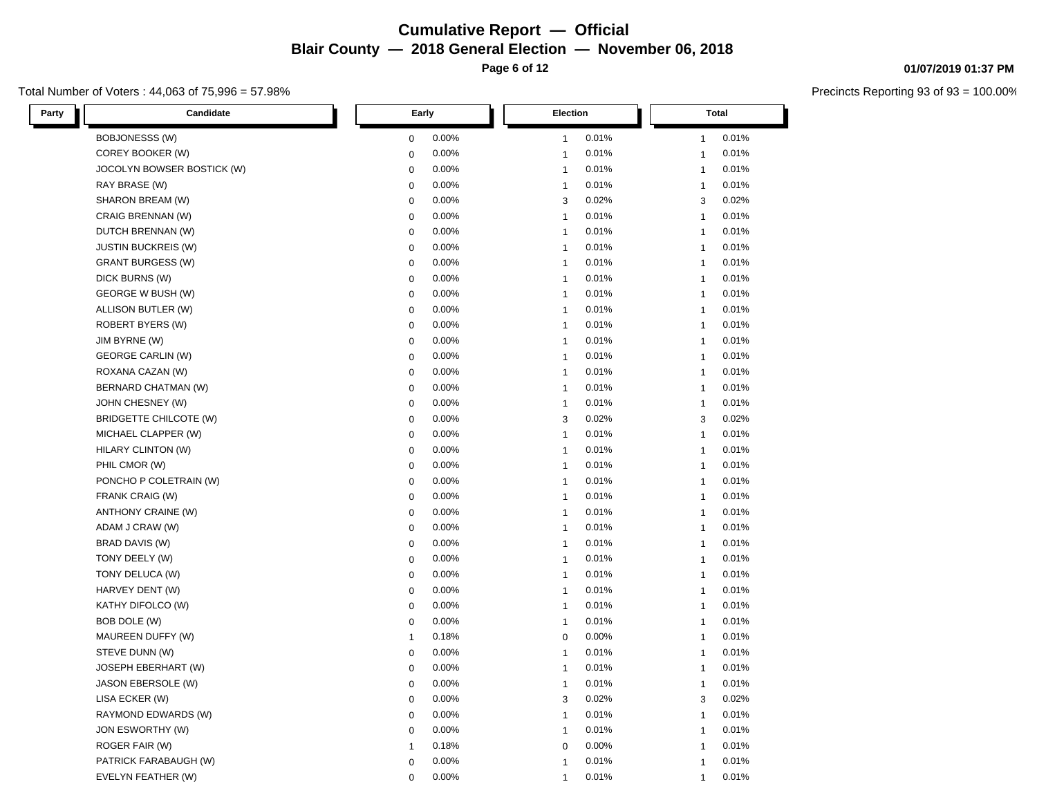**Page 6 of 12**

#### Total Number of Voters : 44,063 of 75,996 = 57.98%

**01/07/2019 01:37 PM**

| Candidate<br>Party         | Early        | Election       | <b>Total</b>   |
|----------------------------|--------------|----------------|----------------|
| <b>BOBJONESSS (W)</b>      | 0.00%        | 0.01%          | 0.01%          |
|                            | $\mathbf 0$  | $\mathbf{1}$   | 1              |
| COREY BOOKER (W)           | 0.00%        | 0.01%          | 0.01%          |
|                            | $\pmb{0}$    | $\mathbf{1}$   | $\mathbf{1}$   |
| JOCOLYN BOWSER BOSTICK (W) | 0.00%        | 0.01%          | 0.01%          |
|                            | $\mathbf 0$  | $\mathbf{1}$   | $\mathbf{1}$   |
| RAY BRASE (W)              | 0.00%        | 0.01%          | 0.01%          |
|                            | $\mathbf 0$  | $\mathbf{1}$   | $\mathbf{1}$   |
| SHARON BREAM (W)           | 0.00%        | 3              | 0.02%          |
|                            | $\mathbf 0$  | 0.02%          | 3              |
| CRAIG BRENNAN (W)          | $\mathbf 0$  | 0.01%          | 0.01%          |
|                            | 0.00%        | $\mathbf{1}$   | $\mathbf{1}$   |
| DUTCH BRENNAN (W)          | 0.00%        | 0.01%          | 0.01%          |
|                            | $\pmb{0}$    | $\overline{1}$ | $\overline{1}$ |
| <b>JUSTIN BUCKREIS (W)</b> | $\mathbf 0$  | 0.01%          | 0.01%          |
|                            | 0.00%        | $\mathbf{1}$   | $\mathbf{1}$   |
| <b>GRANT BURGESS (W)</b>   | $\mathbf 0$  | 0.01%          | 0.01%          |
|                            | 0.00%        | $\mathbf{1}$   | $\mathbf{1}$   |
| DICK BURNS (W)             | 0.00%        | 0.01%          | 0.01%          |
|                            | $\mathbf 0$  | $\mathbf{1}$   | $\mathbf{1}$   |
| GEORGE W BUSH (W)          | 0.00%        | 0.01%          | 0.01%          |
|                            | $\pmb{0}$    | $\mathbf{1}$   | $\mathbf{1}$   |
| ALLISON BUTLER (W)         | 0.00%        | $\mathbf{1}$   | 0.01%          |
|                            | $\pmb{0}$    | 0.01%          | $\mathbf{1}$   |
| ROBERT BYERS (W)           | 0.00%        | $\mathbf{1}$   | 0.01%          |
|                            | $\mathbf 0$  | 0.01%          | $\mathbf{1}$   |
| JIM BYRNE (W)              | 0.00%        | 0.01%          | 0.01%          |
|                            | $\mathbf 0$  | $\mathbf{1}$   | $\mathbf{1}$   |
| <b>GEORGE CARLIN (W)</b>   | 0.00%        | 0.01%          | 0.01%          |
|                            | $\mathbf 0$  | $\overline{1}$ | $\overline{1}$ |
| ROXANA CAZAN (W)           | 0.00%        | 0.01%          | 0.01%          |
|                            | $\pmb{0}$    | $\mathbf{1}$   | $\mathbf{1}$   |
| BERNARD CHATMAN (W)        | $\mathbf 0$  | 0.01%          | 0.01%          |
|                            | 0.00%        | $\mathbf{1}$   | $\mathbf{1}$   |
| JOHN CHESNEY (W)           | 0.00%        | 0.01%          | 0.01%          |
|                            | $\mathbf 0$  | $\mathbf{1}$   | $\mathbf{1}$   |
| BRIDGETTE CHILCOTE (W)     | 0.00%        | 0.02%          | 0.02%          |
|                            | $\mathbf 0$  | 3              | 3              |
| MICHAEL CLAPPER (W)        | $\mathbf 0$  | 0.01%          | 0.01%          |
|                            | 0.00%        | $\mathbf{1}$   | $\mathbf{1}$   |
| HILARY CLINTON (W)         | $\pmb{0}$    | $\overline{1}$ | 0.01%          |
|                            | 0.00%        | 0.01%          | $\mathbf{1}$   |
| PHIL CMOR (W)              | 0.00%        | 0.01%          | 0.01%          |
|                            | $\mathbf 0$  | $\mathbf{1}$   | $\mathbf{1}$   |
| PONCHO P COLETRAIN (W)     | $\mathbf 0$  | 0.01%          | 0.01%          |
|                            | 0.00%        | $\mathbf{1}$   | $\mathbf{1}$   |
| FRANK CRAIG (W)            | 0.00%        | 0.01%          | 0.01%          |
|                            | $\mathbf 0$  | $\mathbf{1}$   | $\mathbf{1}$   |
| ANTHONY CRAINE (W)         | 0.00%        | 0.01%          | 0.01%          |
|                            | $\pmb{0}$    | $\overline{1}$ | $\mathbf{1}$   |
| ADAM J CRAW (W)            | 0.00%        | 0.01%          | 0.01%          |
|                            | $\mathbf 0$  | $\mathbf{1}$   | 1              |
| BRAD DAVIS (W)             | $\mathbf 0$  | 0.01%          | 0.01%          |
|                            | 0.00%        | $\mathbf{1}$   | $\mathbf{1}$   |
| TONY DEELY (W)             | 0.00%        | 0.01%          | 0.01%          |
|                            | $\mathbf 0$  | $\mathbf{1}$   | $\mathbf{1}$   |
| TONY DELUCA (W)            | 0.00%        | 0.01%          | 0.01%          |
|                            | $\mathbf 0$  | $\mathbf{1}$   | $\mathbf{1}$   |
| HARVEY DENT (W)            | 0.00%        | 0.01%          | 0.01%          |
|                            | $\pmb{0}$    | $\overline{1}$ | $\overline{1}$ |
| KATHY DIFOLCO (W)          | 0.00%        | 0.01%          | 0.01%          |
|                            | $\mathbf 0$  | $\overline{1}$ | $\overline{1}$ |
| BOB DOLE (W)               | 0.00%        | 0.01%          | 0.01%          |
|                            | $\mathbf 0$  | $\mathbf{1}$   | $\mathbf{1}$   |
| MAUREEN DUFFY (W)          | 0.18%        | 0.00%          | 0.01%          |
|                            | $\mathbf{1}$ | $\mathbf 0$    | $\mathbf{1}$   |
| STEVE DUNN (W)             | 0.00%        | 0.01%          | 0.01%          |
|                            | $\pmb{0}$    | $\overline{1}$ | $\overline{1}$ |
| JOSEPH EBERHART (W)        | 0.00%        | 0.01%          | 0.01%          |
|                            | $\pmb{0}$    | $\mathbf{1}$   | $\mathbf{1}$   |
| JASON EBERSOLE (W)         | 0.00%        | 0.01%          | 0.01%          |
|                            | $\mathbf 0$  | $\mathbf{1}$   | $\mathbf{1}$   |
| LISA ECKER (W)             | 0.00%        | 0.02%          | 0.02%          |
|                            | $\mathbf 0$  | 3              | 3              |
| RAYMOND EDWARDS (W)        | $\mathbf 0$  | 0.01%          | 0.01%          |
|                            | 0.00%        | $\overline{1}$ | $\mathbf{1}$   |
| JON ESWORTHY (W)           | 0.00%        | 0.01%          | 0.01%          |
|                            | $\mathbf 0$  | $\mathbf{1}$   | $\mathbf{1}$   |
| ROGER FAIR (W)             | 0.18%        | 0.00%          | 0.01%          |
|                            | $\mathbf{1}$ | $\mathbf 0$    | $\overline{1}$ |
| PATRICK FARABAUGH (W)      | 0.00%        | 0.01%          | 0.01%          |
|                            | $\mathbf 0$  | $\mathbf{1}$   | $\mathbf{1}$   |
| EVELYN FEATHER (W)         | 0.00%        | 0.01%          | 0.01%          |
|                            | $\mathbf 0$  | 1              | 1              |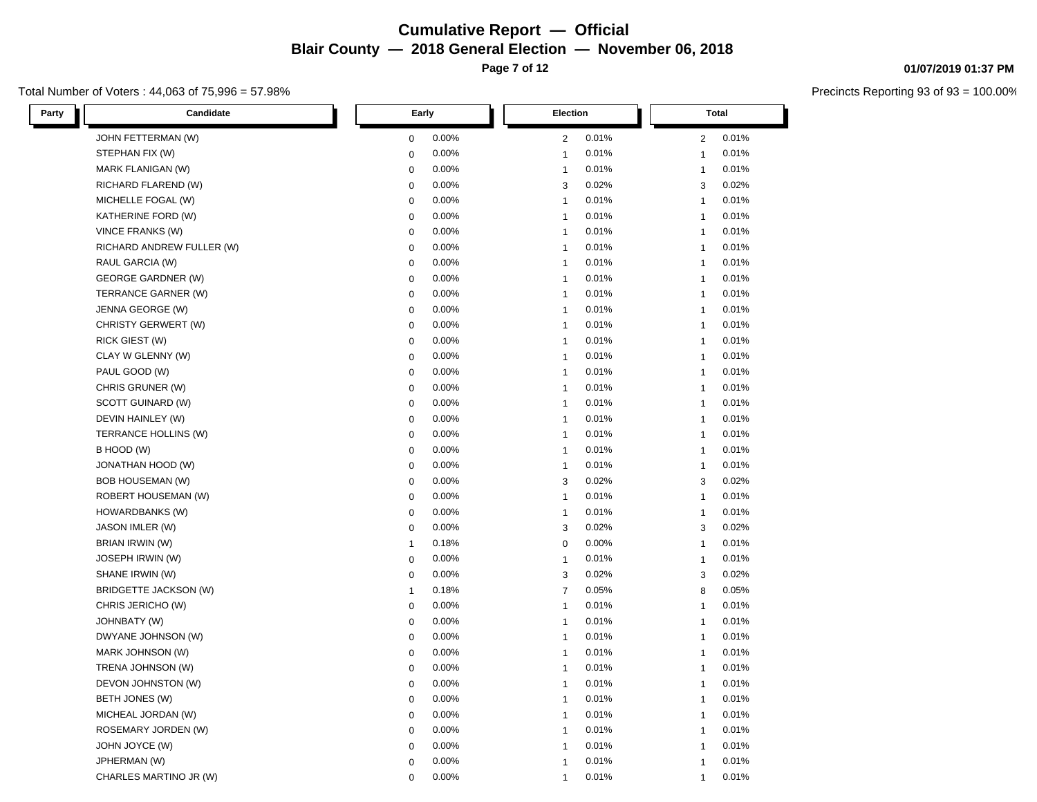**Page 7 of 12**

#### Total Number of Voters : 44,063 of 75,996 = 57.98%

**01/07/2019 01:37 PM**

| Candidate<br>Party        | Early          | Election       | <b>Total</b>   |
|---------------------------|----------------|----------------|----------------|
| JOHN FETTERMAN (W)        | 0.00%          | 0.01%          | 0.01%          |
|                           | $\mathbf 0$    | $\overline{2}$ | $\overline{c}$ |
| STEPHAN FIX (W)           | 0.00%          | 0.01%          | 0.01%          |
|                           | $\mathbf 0$    | $\mathbf{1}$   | $\mathbf{1}$   |
| MARK FLANIGAN (W)         | 0.00%          | 0.01%          | 0.01%          |
|                           | $\mathbf 0$    | $\mathbf{1}$   | $\mathbf{1}$   |
| RICHARD FLAREND (W)       | 0.00%          | 0.02%          | 0.02%          |
|                           | $\pmb{0}$      | 3              | 3              |
| MICHELLE FOGAL (W)        | 0.00%          | 0.01%          | 0.01%          |
|                           | $\pmb{0}$      | $\overline{1}$ | $\mathbf{1}$   |
| KATHERINE FORD (W)        | 0.00%          | 0.01%          | 0.01%          |
|                           | $\mathbf 0$    | $\mathbf{1}$   | $\mathbf{1}$   |
| VINCE FRANKS (W)          | 0.00%          | 0.01%          | 0.01%          |
|                           | $\mathbf 0$    | $\overline{1}$ | $\mathbf{1}$   |
| RICHARD ANDREW FULLER (W) | $\mathbf 0$    | 0.01%          | 0.01%          |
|                           | 0.00%          | $\mathbf{1}$   | $\mathbf{1}$   |
| RAUL GARCIA (W)           | $\mathbf 0$    | 0.01%          | 0.01%          |
|                           | 0.00%          | $\mathbf{1}$   | $\mathbf{1}$   |
| <b>GEORGE GARDNER (W)</b> | 0.00%          | 0.01%          | 0.01%          |
|                           | $\pmb{0}$      | $\mathbf{1}$   | $\mathbf{1}$   |
| TERRANCE GARNER (W)       | 0.00%          | 0.01%          | 0.01%          |
|                           | $\mathbf 0$    | $\mathbf{1}$   | $\overline{1}$ |
| JENNA GEORGE (W)          | $\pmb{0}$      | 0.01%          | 0.01%          |
|                           | 0.00%          | $\mathbf{1}$   | $\overline{1}$ |
| CHRISTY GERWERT (W)       | 0.00%          | 0.01%          | 0.01%          |
|                           | $\mathbf 0$    | $\mathbf{1}$   | $\mathbf{1}$   |
| <b>RICK GIEST (W)</b>     | 0.00%          | 0.01%          | 0.01%          |
|                           | $\mathbf 0$    | $\overline{1}$ | $\mathbf{1}$   |
| CLAY W GLENNY (W)         | 0.00%          | 0.01%          | 0.01%          |
|                           | $\mathbf 0$    | $\overline{1}$ | -1             |
| PAUL GOOD (W)             | 0.00%          | 0.01%          | 0.01%          |
|                           | $\pmb{0}$      | $\mathbf{1}$   | $\mathbf{1}$   |
| CHRIS GRUNER (W)          | 0.00%          | 0.01%          | 0.01%          |
|                           | $\mathbf 0$    | $\mathbf{1}$   | $\mathbf{1}$   |
| SCOTT GUINARD (W)         | 0.00%          | 0.01%          | 0.01%          |
|                           | $\mathbf 0$    | $\mathbf{1}$   | $\mathbf{1}$   |
| DEVIN HAINLEY (W)         | 0.00%          | 0.01%          | 0.01%          |
|                           | $\mathbf 0$    | $\mathbf{1}$   | $\mathbf{1}$   |
| TERRANCE HOLLINS (W)      | $\mathbf 0$    | 0.01%          | 0.01%          |
|                           | 0.00%          | $\mathbf{1}$   | $\mathbf{1}$   |
| B HOOD (W)                | 0.00%          | 0.01%          | 0.01%          |
|                           | $\mathbf 0$    | $\mathbf{1}$   | $\mathbf{1}$   |
| JONATHAN HOOD (W)         | 0.00%          | 0.01%          | 0.01%          |
|                           | $\mathbf 0$    | $\overline{1}$ | $\overline{1}$ |
| <b>BOB HOUSEMAN (W)</b>   | $\mathbf 0$    | 3              | 3              |
|                           | 0.00%          | 0.02%          | 0.02%          |
| ROBERT HOUSEMAN (W)       | $\mathbf 0$    | 0.01%          | 0.01%          |
|                           | 0.00%          | $\mathbf{1}$   | $\mathbf{1}$   |
| HOWARDBANKS (W)           | 0.00%          | 0.01%          | 0.01%          |
|                           | $\mathbf 0$    | $\overline{1}$ | $\mathbf{1}$   |
| JASON IMLER (W)           | 0.00%          | 0.02%          | 0.02%          |
|                           | $\mathbf 0$    | 3              | 3              |
| BRIAN IRWIN (W)           | 0.18%          | $\mathbf 0$    | 0.01%          |
|                           | $\overline{1}$ | 0.00%          | $\mathbf{1}$   |
| JOSEPH IRWIN (W)          | 0.00%          | 0.01%          | 0.01%          |
|                           | $\mathbf 0$    | $\mathbf{1}$   | $\mathbf{1}$   |
| SHANE IRWIN (W)           | 0.00%          | 0.02%          | 0.02%          |
|                           | $\mathbf 0$    | 3              | 3              |
| BRIDGETTE JACKSON (W)     | 0.18%          | $\overline{7}$ | 0.05%          |
|                           | $\mathbf{1}$   | 0.05%          | 8              |
| CHRIS JERICHO (W)         | 0.00%          | 0.01%          | 0.01%          |
|                           | $\mathbf 0$    | $\mathbf{1}$   | $\mathbf{1}$   |
| <b>JOHNBATY (W)</b>       | 0.00%          | 0.01%          | 0.01%          |
|                           | $\mathbf 0$    | $\overline{1}$ | $\mathbf{1}$   |
| DWYANE JOHNSON (W)        | 0.00%          | 0.01%          | 0.01%          |
|                           | $\mathbf 0$    | $\overline{1}$ | $\mathbf{1}$   |
| MARK JOHNSON (W)          | 0.00%          | 0.01%          | 0.01%          |
|                           | $\mathbf 0$    | $\mathbf{1}$   | $\mathbf{1}$   |
| TRENA JOHNSON (W)         | 0.00%          | 0.01%          | 0.01%          |
|                           | $\mathbf 0$    | $\mathbf{1}$   | $\mathbf{1}$   |
| DEVON JOHNSTON (W)        | $\mathbf 0$    | 0.01%          | 0.01%          |
|                           | 0.00%          | $\mathbf{1}$   | $\mathbf{1}$   |
| BETH JONES (W)            | 0.00%          | 0.01%          | 0.01%          |
|                           | $\mathbf 0$    | $\mathbf{1}$   | $\mathbf{1}$   |
| MICHEAL JORDAN (W)        | 0.00%          | 0.01%          | 0.01%          |
|                           | $\pmb{0}$      | $\overline{1}$ | -1             |
| ROSEMARY JORDEN (W)       | 0.00%          | 0.01%          | 0.01%          |
|                           | 0              | $\mathbf{1}$   | $\mathbf{1}$   |
| JOHN JOYCE (W)            | 0.00%          | 0.01%          | 0.01%          |
|                           | $\mathbf 0$    | $\mathbf{1}$   | 1              |
| JPHERMAN (W)              | 0.00%          | 0.01%          | 0.01%          |
|                           | $\mathbf 0$    | $\mathbf{1}$   | $\mathbf{1}$   |
| CHARLES MARTINO JR (W)    | 0.00%          | 0.01%          | 0.01%          |
|                           | $\mathbf 0$    | 1              | 1              |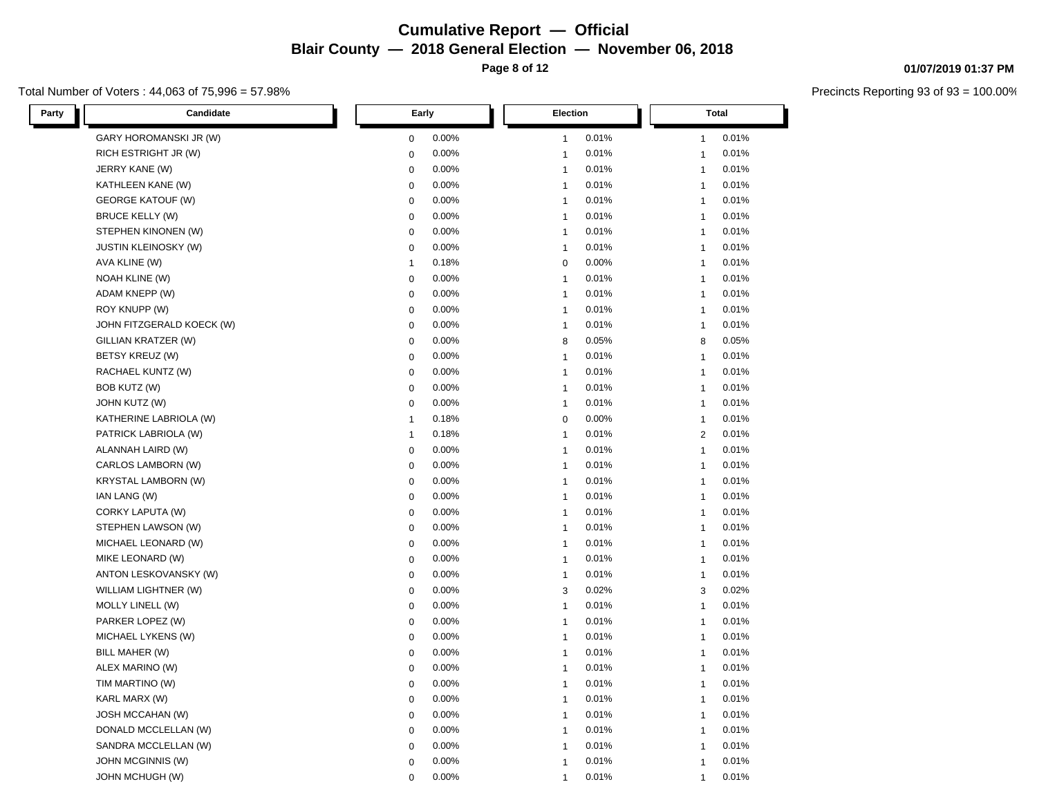**Page 8 of 12**

#### Total Number of Voters : 44,063 of 75,996 = 57.98%

**01/07/2019 01:37 PM**

| Candidate<br>Party          | Early          | Election       | <b>Total</b>   |
|-----------------------------|----------------|----------------|----------------|
| GARY HOROMANSKI JR (W)      | 0.00%          | 0.01%          | 0.01%          |
|                             | $\mathbf 0$    | $\mathbf{1}$   | $\mathbf{1}$   |
| RICH ESTRIGHT JR (W)        | $\mathbf 0$    | 0.01%          | 0.01%          |
|                             | 0.00%          | $\mathbf{1}$   | $\mathbf{1}$   |
| JERRY KANE (W)              | 0.00%          | 0.01%          | 0.01%          |
|                             | $\mathbf 0$    | $\mathbf{1}$   | $\mathbf{1}$   |
| KATHLEEN KANE (W)           | 0.00%          | 0.01%          | 0.01%          |
|                             | $\pmb{0}$      | $\overline{1}$ | 1              |
| <b>GEORGE KATOUF (W)</b>    | 0.00%          | 0.01%          | 0.01%          |
|                             | $\pmb{0}$      | $\overline{1}$ | $\mathbf{1}$   |
| <b>BRUCE KELLY (W)</b>      | 0.00%          | 0.01%          | 0.01%          |
|                             | $\mathbf 0$    | $\mathbf{1}$   | $\mathbf{1}$   |
| STEPHEN KINONEN (W)         | 0.00%          | 0.01%          | 0.01%          |
|                             | $\mathbf 0$    | $\overline{1}$ | $\mathbf{1}$   |
| <b>JUSTIN KLEINOSKY (W)</b> | $\mathbf 0$    | 0.01%          | 0.01%          |
|                             | 0.00%          | $\mathbf{1}$   | $\mathbf{1}$   |
| AVA KLINE (W)               | 0.18%          | $\mathbf 0$    | 0.01%          |
|                             | $\overline{1}$ | 0.00%          | $\mathbf{1}$   |
| NOAH KLINE (W)              | 0.00%          | 0.01%          | 0.01%          |
|                             | $\pmb{0}$      | $\mathbf{1}$   | $\mathbf{1}$   |
| ADAM KNEPP (W)              | 0.00%          | 0.01%          | 0.01%          |
|                             | $\mathbf 0$    | $\mathbf{1}$   | $\overline{1}$ |
| ROY KNUPP (W)               | $\pmb{0}$      | 0.01%          | 0.01%          |
|                             | 0.00%          | $\mathbf{1}$   | $\overline{1}$ |
| JOHN FITZGERALD KOECK (W)   | 0.00%          | 0.01%          | 0.01%          |
|                             | $\mathbf 0$    | $\mathbf{1}$   | $\mathbf{1}$   |
| GILLIAN KRATZER (W)         | 0.00%          | 0.05%          | 0.05%          |
|                             | $\mathbf 0$    | 8              | 8              |
| BETSY KREUZ (W)             | 0.00%          | 0.01%          | 0.01%          |
|                             | $\mathbf 0$    | $\mathbf{1}$   | $\mathbf{1}$   |
| RACHAEL KUNTZ (W)           | 0.00%          | 0.01%          | 0.01%          |
|                             | $\pmb{0}$      | $\mathbf{1}$   | $\mathbf{1}$   |
| BOB KUTZ (W)                | 0.00%          | 0.01%          | 0.01%          |
|                             | $\mathbf 0$    | $\mathbf{1}$   | $\mathbf{1}$   |
| JOHN KUTZ (W)               | 0.00%          | 0.01%          | 0.01%          |
|                             | $\mathbf 0$    | $\mathbf{1}$   | $\mathbf{1}$   |
| KATHERINE LABRIOLA (W)      | 0.18%          | 0.00%          | 0.01%          |
|                             | $\overline{1}$ | $\mathbf 0$    | $\mathbf{1}$   |
| PATRICK LABRIOLA (W)        | 0.18%          | 0.01%          | $\overline{2}$ |
|                             | $\mathbf{1}$   | $\mathbf{1}$   | 0.01%          |
| ALANNAH LAIRD (W)           | 0.00%          | 0.01%          | 0.01%          |
|                             | $\pmb{0}$      | $\mathbf{1}$   | $\mathbf{1}$   |
| CARLOS LAMBORN (W)          | 0.00%          | 0.01%          | 0.01%          |
|                             | $\mathbf 0$    | $\overline{1}$ | $\overline{1}$ |
| <b>KRYSTAL LAMBORN (W)</b>  | $\pmb{0}$      | 0.01%          | 0.01%          |
|                             | 0.00%          | $\mathbf{1}$   | $\overline{1}$ |
| IAN LANG (W)                | $\mathbf 0$    | 0.01%          | 0.01%          |
|                             | 0.00%          | $\mathbf{1}$   | $\mathbf{1}$   |
| CORKY LAPUTA (W)            | 0.00%          | 0.01%          | 0.01%          |
|                             | $\mathbf 0$    | $\mathbf{1}$   | $\mathbf{1}$   |
| STEPHEN LAWSON (W)          | 0.00%          | 0.01%          | 0.01%          |
|                             | $\mathbf 0$    | $\mathbf{1}$   | 1              |
| MICHAEL LEONARD (W)         | $\pmb{0}$      | 0.01%          | 0.01%          |
|                             | 0.00%          | $\mathbf{1}$   | $\mathbf{1}$   |
| MIKE LEONARD (W)            | 0.00%          | $\mathbf{1}$   | 0.01%          |
|                             | $\mathbf 0$    | 0.01%          | $\mathbf{1}$   |
| ANTON LESKOVANSKY (W)       | 0.00%          | 0.01%          | 0.01%          |
|                             | $\mathbf 0$    | $\mathbf{1}$   | $\mathbf{1}$   |
| WILLIAM LIGHTNER (W)        | 0.00%          | 0.02%          | 0.02%          |
|                             | $\mathbf 0$    | 3              | 3              |
| MOLLY LINELL (W)            | 0.00%          | 0.01%          | 0.01%          |
|                             | $\mathbf 0$    | $\mathbf{1}$   | $\mathbf{1}$   |
| PARKER LOPEZ (W)            | 0.00%          | 0.01%          | 0.01%          |
|                             | $\mathbf 0$    | $\overline{1}$ | $\mathbf{1}$   |
| MICHAEL LYKENS (W)          | 0.00%          | 0.01%          | 0.01%          |
|                             | $\mathbf 0$    | $\overline{1}$ | $\mathbf{1}$   |
| BILL MAHER (W)              | 0.00%          | 0.01%          | 0.01%          |
|                             | $\mathbf 0$    | $\mathbf{1}$   | $\mathbf{1}$   |
| ALEX MARINO (W)             | 0.00%          | 0.01%          | 0.01%          |
|                             | $\mathbf 0$    | $\mathbf{1}$   | $\mathbf{1}$   |
| TIM MARTINO (W)             | $\mathbf 0$    | 0.01%          | 0.01%          |
|                             | 0.00%          | $\mathbf{1}$   | $\mathbf{1}$   |
| KARL MARX (W)               | 0.00%          | 0.01%          | 0.01%          |
|                             | $\mathbf 0$    | $\mathbf{1}$   | $\mathbf{1}$   |
| <b>JOSH MCCAHAN (W)</b>     | $\mathbf 0$    | 0.01%          | 0.01%          |
|                             | 0.00%          | $\overline{1}$ | -1             |
| DONALD MCCLELLAN (W)        | 0.00%          | 0.01%          | 0.01%          |
|                             | 0              | $\mathbf{1}$   | $\mathbf{1}$   |
| SANDRA MCCLELLAN (W)        | 0.00%          | 0.01%          | 0.01%          |
|                             | $\mathbf 0$    | $\mathbf{1}$   | 1              |
| JOHN MCGINNIS (W)           | 0.00%          | 0.01%          | 0.01%          |
|                             | $\mathbf 0$    | $\mathbf{1}$   | $\mathbf{1}$   |
| JOHN MCHUGH (W)             | 0.00%          | 0.01%          | 0.01%          |
|                             | $\mathbf 0$    | 1              | 1              |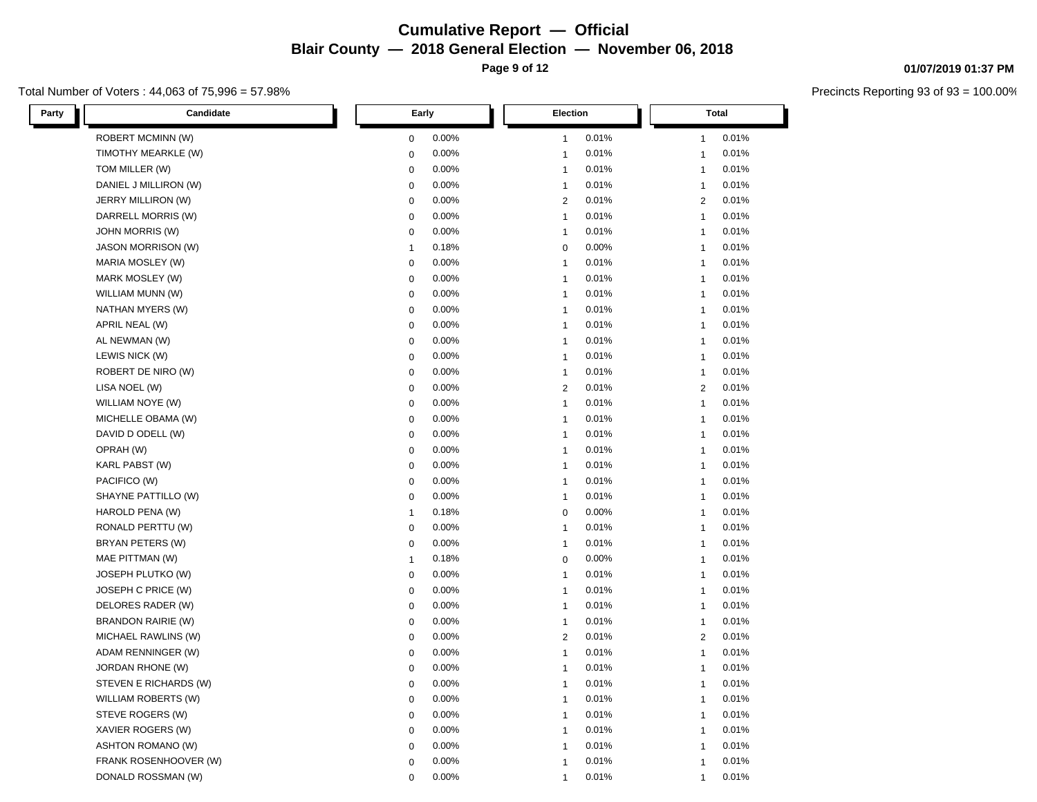**Page 9 of 12**

#### Total Number of Voters : 44,063 of 75,996 = 57.98%

**01/07/2019 01:37 PM**

| Party     | Candidate                 | Early        |       |                         | Election | <b>Total</b>   |       |
|-----------|---------------------------|--------------|-------|-------------------------|----------|----------------|-------|
|           | ROBERT MCMINN (W)         | $\pmb{0}$    | 0.00% | $\mathbf{1}$            | 0.01%    | 1              | 0.01% |
|           | TIMOTHY MEARKLE (W)       | $\mathbf 0$  | 0.00% | $\mathbf{1}$            | 0.01%    | $\mathbf{1}$   | 0.01% |
|           | TOM MILLER (W)            | $\mathbf 0$  | 0.00% | $\mathbf{1}$            | 0.01%    | $\mathbf{1}$   | 0.01% |
|           | DANIEL J MILLIRON (W)     | $\mathbf 0$  | 0.00% | $\overline{1}$          | 0.01%    | $\mathbf{1}$   | 0.01% |
|           | JERRY MILLIRON (W)        | $\pmb{0}$    | 0.00% | $\overline{2}$          | 0.01%    | $\overline{2}$ | 0.01% |
|           | DARRELL MORRIS (W)        | $\mathbf 0$  | 0.00% | $\mathbf{1}$            | 0.01%    | $\mathbf{1}$   | 0.01% |
|           | <b>JOHN MORRIS (W)</b>    | $\mathbf 0$  | 0.00% | $\mathbf{1}$            | 0.01%    | $\mathbf{1}$   | 0.01% |
|           | <b>JASON MORRISON (W)</b> | $\mathbf{1}$ | 0.18% | $\mathbf 0$             | 0.00%    | $\mathbf{1}$   | 0.01% |
|           | MARIA MOSLEY (W)          | $\pmb{0}$    | 0.00% | $\mathbf{1}$            | 0.01%    | $\overline{1}$ | 0.01% |
|           | MARK MOSLEY (W)           | $\mathbf 0$  | 0.00% | $\mathbf{1}$            | 0.01%    | $\mathbf{1}$   | 0.01% |
|           | WILLIAM MUNN (W)          | $\mathbf 0$  | 0.00% | $\mathbf{1}$            | 0.01%    | $\mathbf{1}$   | 0.01% |
|           | NATHAN MYERS (W)          | $\pmb{0}$    | 0.00% | $\overline{1}$          | 0.01%    | $\mathbf{1}$   | 0.01% |
|           | APRIL NEAL (W)            | $\mathbf 0$  | 0.00% | $\mathbf{1}$            | 0.01%    | $\mathbf{1}$   | 0.01% |
|           | AL NEWMAN (W)             | $\mathbf 0$  | 0.00% | $\mathbf{1}$            | 0.01%    | $\mathbf{1}$   | 0.01% |
|           | LEWIS NICK (W)            | $\pmb{0}$    | 0.00% | $\mathbf{1}$            | 0.01%    | -1             | 0.01% |
|           | ROBERT DE NIRO (W)        | $\pmb{0}$    | 0.00% | $\overline{1}$          | 0.01%    | $\mathbf{1}$   | 0.01% |
|           | LISA NOEL (W)             | $\mathbf 0$  | 0.00% | $\overline{2}$          | 0.01%    | 2              | 0.01% |
|           | WILLIAM NOYE (W)          | $\mathbf 0$  | 0.00% | $\overline{1}$          | 0.01%    | $\mathbf{1}$   | 0.01% |
|           | MICHELLE OBAMA (W)        | $\pmb{0}$    | 0.00% | $\overline{1}$          | 0.01%    | 1              | 0.01% |
|           | DAVID D ODELL (W)         | $\mathbf 0$  | 0.00% | $\mathbf{1}$            | 0.01%    | $\overline{1}$ | 0.01% |
| OPRAH (W) |                           | $\mathbf 0$  | 0.00% | $\mathbf{1}$            | 0.01%    | $\mathbf{1}$   | 0.01% |
|           | KARL PABST (W)            | $\mathbf 0$  | 0.00% | $\mathbf{1}$            | 0.01%    | $\overline{1}$ | 0.01% |
|           | PACIFICO (W)              | $\pmb{0}$    | 0.00% | $\overline{1}$          | 0.01%    | $\mathbf{1}$   | 0.01% |
|           | SHAYNE PATTILLO (W)       | $\mathbf 0$  | 0.00% | $\mathbf{1}$            | 0.01%    | $\mathbf{1}$   | 0.01% |
|           | HAROLD PENA (W)           | $\mathbf{1}$ | 0.18% | $\mathbf 0$             | 0.00%    | $\mathbf{1}$   | 0.01% |
|           | RONALD PERTTU (W)         | $\pmb{0}$    | 0.00% | $\overline{1}$          | 0.01%    | -1             | 0.01% |
|           | BRYAN PETERS (W)          | $\mathbf 0$  | 0.00% | $\mathbf{1}$            | 0.01%    | $\mathbf{1}$   | 0.01% |
|           | MAE PITTMAN (W)           | $\mathbf{1}$ | 0.18% | $\mathbf 0$             | 0.00%    | $\mathbf{1}$   | 0.01% |
|           | JOSEPH PLUTKO (W)         | $\mathbf 0$  | 0.00% | $\mathbf{1}$            | 0.01%    | $\overline{1}$ | 0.01% |
|           | JOSEPH C PRICE (W)        | $\pmb{0}$    | 0.00% | $\overline{1}$          | 0.01%    | $\overline{1}$ | 0.01% |
|           | DELORES RADER (W)         | $\mathbf 0$  | 0.00% | $\mathbf{1}$            | 0.01%    | $\mathbf{1}$   | 0.01% |
|           | <b>BRANDON RAIRIE (W)</b> | $\mathbf 0$  | 0.00% | $\mathbf{1}$            | 0.01%    | $\mathbf{1}$   | 0.01% |
|           | MICHAEL RAWLINS (W)       | $\pmb{0}$    | 0.00% | $\overline{2}$          | 0.01%    | 2              | 0.01% |
|           | ADAM RENNINGER (W)        | $\mathbf 0$  | 0.00% | $\mathbf{1}$            | 0.01%    | $\mathbf{1}$   | 0.01% |
|           | JORDAN RHONE (W)          | $\mathbf 0$  | 0.00% | $\mathbf{1}$            | 0.01%    | $\mathbf{1}$   | 0.01% |
|           | STEVEN E RICHARDS (W)     | $\mathbf 0$  | 0.00% | $\mathbf{1}$            | 0.01%    | $\mathbf{1}$   | 0.01% |
|           | WILLIAM ROBERTS (W)       | $\pmb{0}$    | 0.00% | $\mathbf{1}$            | 0.01%    | $\overline{1}$ | 0.01% |
|           | STEVE ROGERS (W)          | $\mathbf 0$  | 0.00% | $\overline{1}$          | 0.01%    | $\mathbf{1}$   | 0.01% |
|           | XAVIER ROGERS (W)         | $\mathbf 0$  | 0.00% | $\mathbf{1}$            | 0.01%    | $\mathbf{1}$   | 0.01% |
|           | <b>ASHTON ROMANO (W)</b>  | $\mathbf 0$  | 0.00% | $\mathbf{1}$            | 0.01%    | 1              | 0.01% |
|           | FRANK ROSENHOOVER (W)     | $\mathbf 0$  | 0.00% | $\overline{\mathbf{1}}$ | 0.01%    | $\overline{1}$ | 0.01% |
|           | DONALD ROSSMAN (W)        | $\mathbf 0$  | 0.00% | $\overline{1}$          | 0.01%    | $\mathbf{1}$   | 0.01% |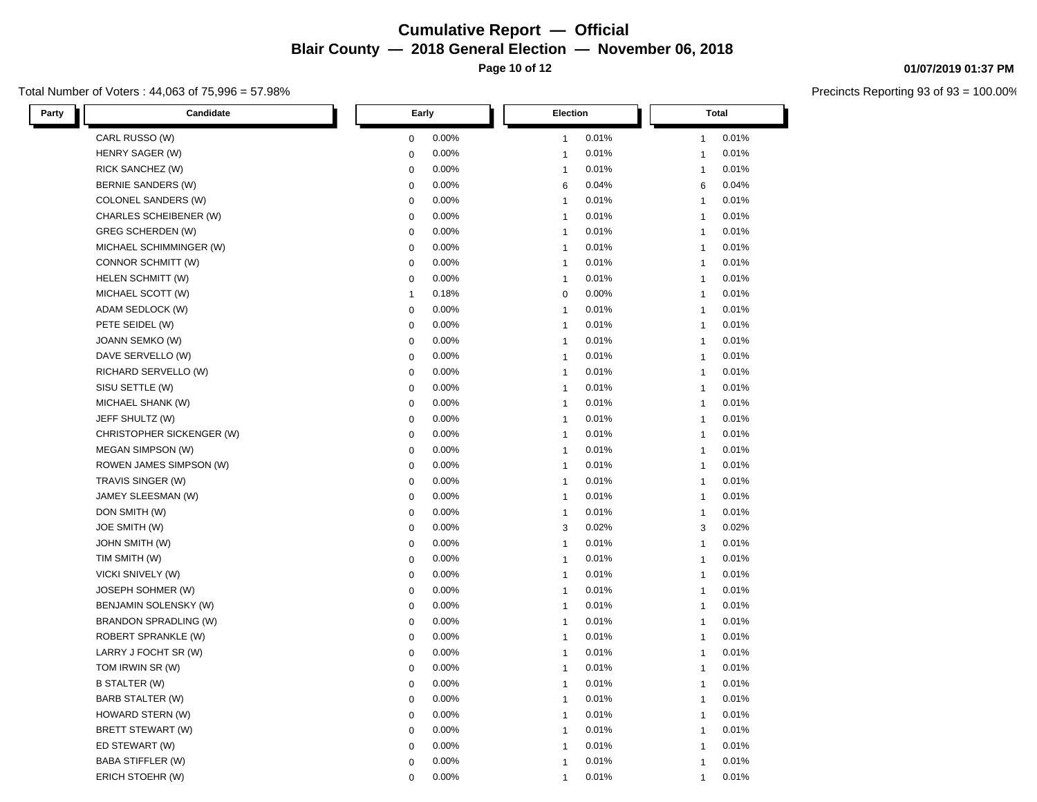Total Number of Voters : 44,063 of 75,996 = 57.98%

L

| Party | <b>Candidate</b>             | Early        |       |                         | Election |   | Total                 |
|-------|------------------------------|--------------|-------|-------------------------|----------|---|-----------------------|
|       | CARL RUSSO (W)               | $\mathbf 0$  | 0.00% | -1                      | 0.01%    |   | 0.01%<br>1            |
|       | HENRY SAGER (W)              | $\mathbf 0$  | 0.00% | $\overline{1}$          | 0.01%    |   | 0.01%<br>$\mathbf{1}$ |
|       | RICK SANCHEZ (W)             | $\mathbf 0$  | 0.00% | $\mathbf{1}$            | 0.01%    |   | 0.01%<br>$\mathbf{1}$ |
|       | <b>BERNIE SANDERS (W)</b>    | $\mathbf 0$  | 0.00% | 6                       | 0.04%    |   | 0.04%<br>6            |
|       | COLONEL SANDERS (W)          | 0            | 0.00% | $\overline{1}$          | 0.01%    |   | 0.01%<br>$\mathbf{1}$ |
|       | CHARLES SCHEIBENER (W)       | $\mathbf 0$  | 0.00% | $\overline{1}$          | 0.01%    |   | 0.01%<br>$\mathbf{1}$ |
|       | <b>GREG SCHERDEN (W)</b>     | $\mathbf 0$  | 0.00% | $\overline{1}$          | 0.01%    |   | 0.01%<br>$\mathbf{1}$ |
|       | MICHAEL SCHIMMINGER (W)      | $\mathbf 0$  | 0.00% | $\mathbf{1}$            | 0.01%    |   | 0.01%<br>1            |
|       | CONNOR SCHMITT (W)           | $\mathbf 0$  | 0.00% | $\overline{1}$          | 0.01%    |   | 0.01%<br>$\mathbf{1}$ |
|       | HELEN SCHMITT (W)            | $\mathbf 0$  | 0.00% | $\mathbf{1}$            | 0.01%    |   | 0.01%<br>$\mathbf{1}$ |
|       | MICHAEL SCOTT (W)            | $\mathbf{1}$ | 0.18% | $\mathbf 0$             | 0.00%    |   | 0.01%<br>$\mathbf{1}$ |
|       | ADAM SEDLOCK (W)             | $\mathbf 0$  | 0.00% | $\overline{1}$          | 0.01%    |   | 0.01%<br>$\mathbf{1}$ |
|       | PETE SEIDEL (W)              | $\mathbf 0$  | 0.00% | $\mathbf{1}$            | 0.01%    |   | 0.01%<br>$\mathbf{1}$ |
|       | JOANN SEMKO (W)              | $\mathbf 0$  | 0.00% | $\overline{1}$          | 0.01%    |   | 0.01%<br>$\mathbf{1}$ |
|       | DAVE SERVELLO (W)            | $\mathbf 0$  | 0.00% | $\overline{1}$          | 0.01%    |   | 0.01%<br>1            |
|       | RICHARD SERVELLO (W)         | $\mathbf 0$  | 0.00% | $\mathbf{1}$            | 0.01%    |   | 0.01%<br>$\mathbf{1}$ |
|       | SISU SETTLE (W)              | $\mathbf 0$  | 0.00% | $\overline{1}$          | 0.01%    |   | 0.01%<br>1            |
|       | MICHAEL SHANK (W)            | $\mathbf 0$  | 0.00% | $\overline{1}$          | 0.01%    |   | 0.01%<br>$\mathbf{1}$ |
|       | JEFF SHULTZ (W)              | $\mathbf 0$  | 0.00% | $\overline{1}$          | 0.01%    |   | 0.01%<br>1            |
|       | CHRISTOPHER SICKENGER (W)    | $\mathbf 0$  | 0.00% | $\overline{1}$          | 0.01%    |   | 0.01%<br>$\mathbf{1}$ |
|       | <b>MEGAN SIMPSON (W)</b>     | 0            | 0.00% | $\mathbf{1}$            | 0.01%    |   | 0.01%<br>$\mathbf{1}$ |
|       | ROWEN JAMES SIMPSON (W)      | $\mathbf 0$  | 0.00% | $\overline{1}$          | 0.01%    |   | 0.01%<br>1            |
|       | TRAVIS SINGER (W)            | $\mathbf 0$  | 0.00% | $\overline{1}$          | 0.01%    |   | 0.01%<br>$\mathbf{1}$ |
|       | JAMEY SLEESMAN (W)           | $\mathbf 0$  | 0.00% | $\mathbf{1}$            | 0.01%    |   | 0.01%<br>1            |
|       | DON SMITH (W)                | $\mathbf 0$  | 0.00% | $\mathbf{1}$            | 0.01%    |   | 0.01%<br>$\mathbf{1}$ |
|       | JOE SMITH (W)                | $\mathbf 0$  | 0.00% | 3                       | 0.02%    |   | 0.02%<br>3            |
|       | <b>JOHN SMITH (W)</b>        | $\pmb{0}$    | 0.00% | $\overline{1}$          | 0.01%    |   | 0.01%<br>$\mathbf{1}$ |
|       | TIM SMITH (W)                | 0            | 0.00% | $\mathbf{1}$            | 0.01%    |   | 0.01%<br>$\mathbf{1}$ |
|       | VICKI SNIVELY (W)            | $\mathbf 0$  | 0.00% | $\overline{1}$          | 0.01%    |   | 0.01%<br>1            |
|       | JOSEPH SOHMER (W)            | 0            | 0.00% | $\overline{\mathbf{1}}$ | 0.01%    |   | 0.01%<br>$\mathbf{1}$ |
|       | BENJAMIN SOLENSKY (W)        | $\mathbf 0$  | 0.00% | $\mathbf{1}$            | 0.01%    |   | 0.01%<br>1            |
|       | <b>BRANDON SPRADLING (W)</b> | $\mathbf 0$  | 0.00% | $\mathbf{1}$            | 0.01%    |   | 0.01%<br>$\mathbf{1}$ |
|       | <b>ROBERT SPRANKLE (W)</b>   | $\mathbf 0$  | 0.00% | $\overline{1}$          | 0.01%    |   | 0.01%<br>1            |
|       | LARRY J FOCHT SR (W)         | $\mathbf 0$  | 0.00% | $\overline{1}$          | 0.01%    |   | 0.01%<br>$\mathbf{1}$ |
|       | TOM IRWIN SR (W)             | 0            | 0.00% | $\mathbf{1}$            | 0.01%    |   | 0.01%<br>$\mathbf{1}$ |
|       | <b>B STALTER (W)</b>         | $\mathbf 0$  | 0.00% | $\overline{1}$          | 0.01%    |   | 0.01%<br>$\mathbf{1}$ |
|       | <b>BARB STALTER (W)</b>      | 0            | 0.00% | $\overline{1}$          | 0.01%    |   | 0.01%<br>$\mathbf{1}$ |
|       | HOWARD STERN (W)             | $\mathbf 0$  | 0.00% | $\overline{1}$          | 0.01%    |   | 0.01%<br>1            |
|       | BRETT STEWART (W)            | $\mathbf 0$  | 0.00% | $\mathbf{1}$            | 0.01%    |   | 0.01%<br>1            |
|       | ED STEWART (W)               | $\mathbf 0$  | 0.00% | $\overline{1}$          | 0.01%    | 1 | 0.01%                 |
|       | <b>BABA STIFFLER (W)</b>     | $\mathbf 0$  | 0.00% | $\overline{1}$          | 0.01%    |   | 0.01%<br>$\mathbf{1}$ |
|       | ERICH STOEHR (W)             | $\mathbf 0$  | 0.00% | $\mathbf{1}$            | 0.01%    |   | 0.01%<br>$\mathbf{1}$ |

#### **01/07/2019 01:37 PM**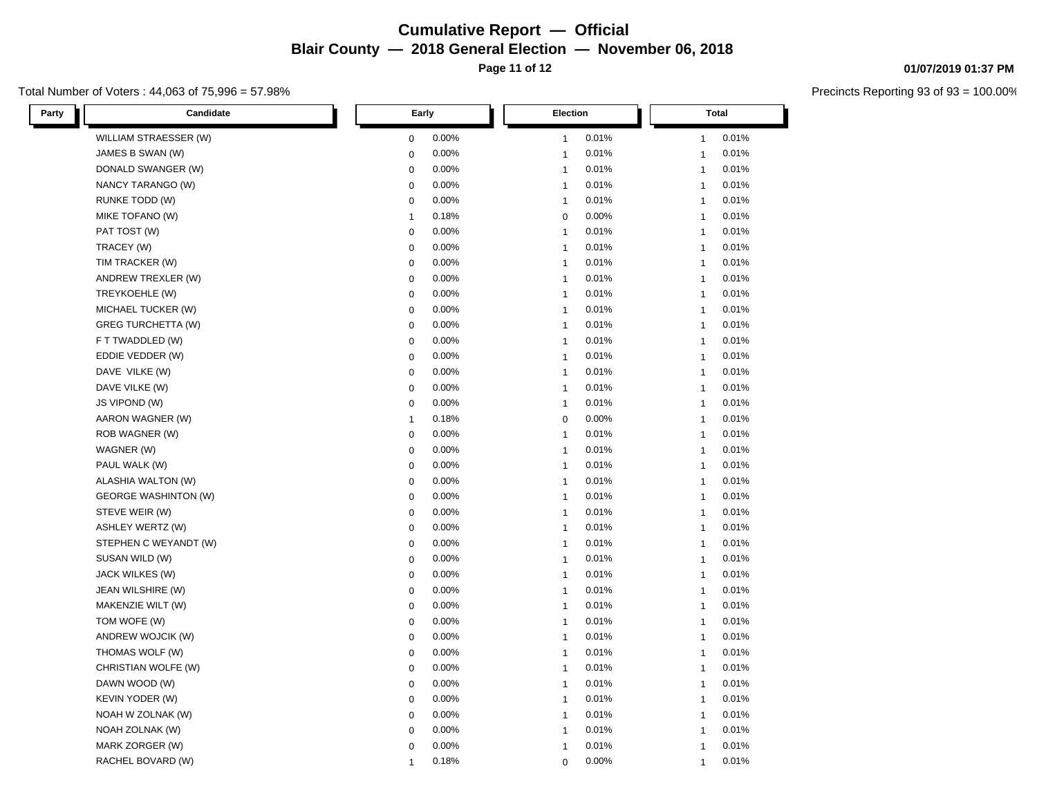Total Number of Voters : 44,063 of 75,996 = 57.98%

L

| Party | Candidate                   |              | Early | Election       |       | <b>Total</b> |       |
|-------|-----------------------------|--------------|-------|----------------|-------|--------------|-------|
|       | WILLIAM STRAESSER (W)       | 0            | 0.00% | $\mathbf{1}$   | 0.01% | 1            | 0.01% |
|       | JAMES B SWAN (W)            | $\mathbf 0$  | 0.00% | $\overline{1}$ | 0.01% | 1            | 0.01% |
|       | DONALD SWANGER (W)          | $\mathbf 0$  | 0.00% | $\overline{1}$ | 0.01% | $\mathbf{1}$ | 0.01% |
|       | NANCY TARANGO (W)           | $\mathbf 0$  | 0.00% | $\mathbf{1}$   | 0.01% | $\mathbf{1}$ | 0.01% |
|       | <b>RUNKE TODD (W)</b>       | $\mathbf 0$  | 0.00% | $\mathbf{1}$   | 0.01% | 1            | 0.01% |
|       | MIKE TOFANO (W)             | $\mathbf{1}$ | 0.18% | $\mathbf 0$    | 0.00% | 1            | 0.01% |
|       | PAT TOST (W)                | $\mathbf 0$  | 0.00% | $\overline{1}$ | 0.01% | $\mathbf{1}$ | 0.01% |
|       | TRACEY (W)                  | $\mathbf 0$  | 0.00% | $\overline{1}$ | 0.01% | $\mathbf{1}$ | 0.01% |
|       | TIM TRACKER (W)             | $\mathbf 0$  | 0.00% | $\mathbf{1}$   | 0.01% | 1            | 0.01% |
|       | ANDREW TREXLER (W)          | $\mathbf 0$  | 0.00% | $\overline{1}$ | 0.01% | 1            | 0.01% |
|       | TREYKOEHLE (W)              | $\mathbf 0$  | 0.00% | $\overline{1}$ | 0.01% | $\mathbf{1}$ | 0.01% |
|       | MICHAEL TUCKER (W)          | $\mathbf 0$  | 0.00% | $\overline{1}$ | 0.01% | $\mathbf{1}$ | 0.01% |
|       | <b>GREG TURCHETTA (W)</b>   | $\mathbf 0$  | 0.00% | $\mathbf{1}$   | 0.01% | $\mathbf{1}$ | 0.01% |
|       | F T TWADDLED (W)            | $\mathbf 0$  | 0.00% | $\overline{1}$ | 0.01% | 1            | 0.01% |
|       | EDDIE VEDDER (W)            | $\mathbf 0$  | 0.00% | $\overline{1}$ | 0.01% | $\mathbf{1}$ | 0.01% |
|       | DAVE VILKE (W)              | $\mathbf 0$  | 0.00% | $\mathbf{1}$   | 0.01% | $\mathbf{1}$ | 0.01% |
|       | DAVE VILKE (W)              | $\mathbf 0$  | 0.00% | $\overline{1}$ | 0.01% | $\mathbf{1}$ | 0.01% |
|       | JS VIPOND (W)               | $\pmb{0}$    | 0.00% | $\overline{1}$ | 0.01% | 1            | 0.01% |
|       | AARON WAGNER (W)            | $\mathbf{1}$ | 0.18% | 0              | 0.00% | $\mathbf{1}$ | 0.01% |
|       | ROB WAGNER (W)              | $\mathbf 0$  | 0.00% | $\overline{1}$ | 0.01% | 1            | 0.01% |
|       | WAGNER (W)                  | $\mathbf 0$  | 0.00% | $\overline{1}$ | 0.01% | $\mathbf{1}$ | 0.01% |
|       | PAUL WALK (W)               | $\mathbf 0$  | 0.00% | 1              | 0.01% | 1            | 0.01% |
|       | ALASHIA WALTON (W)          | $\mathbf 0$  | 0.00% | $\overline{1}$ | 0.01% | $\mathbf{1}$ | 0.01% |
|       | <b>GEORGE WASHINTON (W)</b> | $\mathbf 0$  | 0.00% | $\overline{1}$ | 0.01% | 1            | 0.01% |
|       | STEVE WEIR (W)              | 0            | 0.00% | $\mathbf{1}$   | 0.01% | $\mathbf{1}$ | 0.01% |
|       | <b>ASHLEY WERTZ (W)</b>     | 0            | 0.00% | $\overline{1}$ | 0.01% | 1            | 0.01% |
|       | STEPHEN C WEYANDT (W)       | $\mathbf 0$  | 0.00% | $\overline{1}$ | 0.01% | $\mathbf{1}$ | 0.01% |
|       | SUSAN WILD (W)              | $\mathbf 0$  | 0.00% | $\overline{1}$ | 0.01% | 1            | 0.01% |
|       | JACK WILKES (W)             | $\mathbf 0$  | 0.00% | $\overline{1}$ | 0.01% | $\mathbf{1}$ | 0.01% |
|       | JEAN WILSHIRE (W)           | $\mathbf 0$  | 0.00% | $\overline{1}$ | 0.01% | 1            | 0.01% |
|       | MAKENZIE WILT (W)           | 0            | 0.00% | $\overline{1}$ | 0.01% | $\mathbf{1}$ | 0.01% |
|       | TOM WOFE (W)                | $\mathbf 0$  | 0.00% | $\mathbf{1}$   | 0.01% | $\mathbf{1}$ | 0.01% |
|       | ANDREW WOJCIK (W)           | 0            | 0.00% | $\mathbf{1}$   | 0.01% | $\mathbf{1}$ | 0.01% |
|       | THOMAS WOLF (W)             | $\mathbf 0$  | 0.00% | $\mathbf{1}$   | 0.01% | $\mathbf{1}$ | 0.01% |
|       | CHRISTIAN WOLFE (W)         | $\mathbf 0$  | 0.00% | $\overline{1}$ | 0.01% | $\mathbf{1}$ | 0.01% |
|       | DAWN WOOD (W)               | $\mathbf 0$  | 0.00% | $\overline{1}$ | 0.01% | $\mathbf{1}$ | 0.01% |
|       | KEVIN YODER (W)             | 0            | 0.00% | $\overline{1}$ | 0.01% | $\mathbf{1}$ | 0.01% |
|       | NOAH W ZOLNAK (W)           | $\mathbf 0$  | 0.00% | $\overline{1}$ | 0.01% | 1            | 0.01% |
|       | NOAH ZOLNAK (W)             | 0            | 0.00% | $\mathbf 1$    | 0.01% | $\mathbf{1}$ | 0.01% |
|       | MARK ZORGER (W)             | 0            | 0.00% | $\overline{1}$ | 0.01% | $\mathbf{1}$ | 0.01% |
|       | RACHEL BOVARD (W)           | 1            | 0.18% | 0              | 0.00% | $\mathbf{1}$ | 0.01% |

### **01/07/2019 01:37 PM**